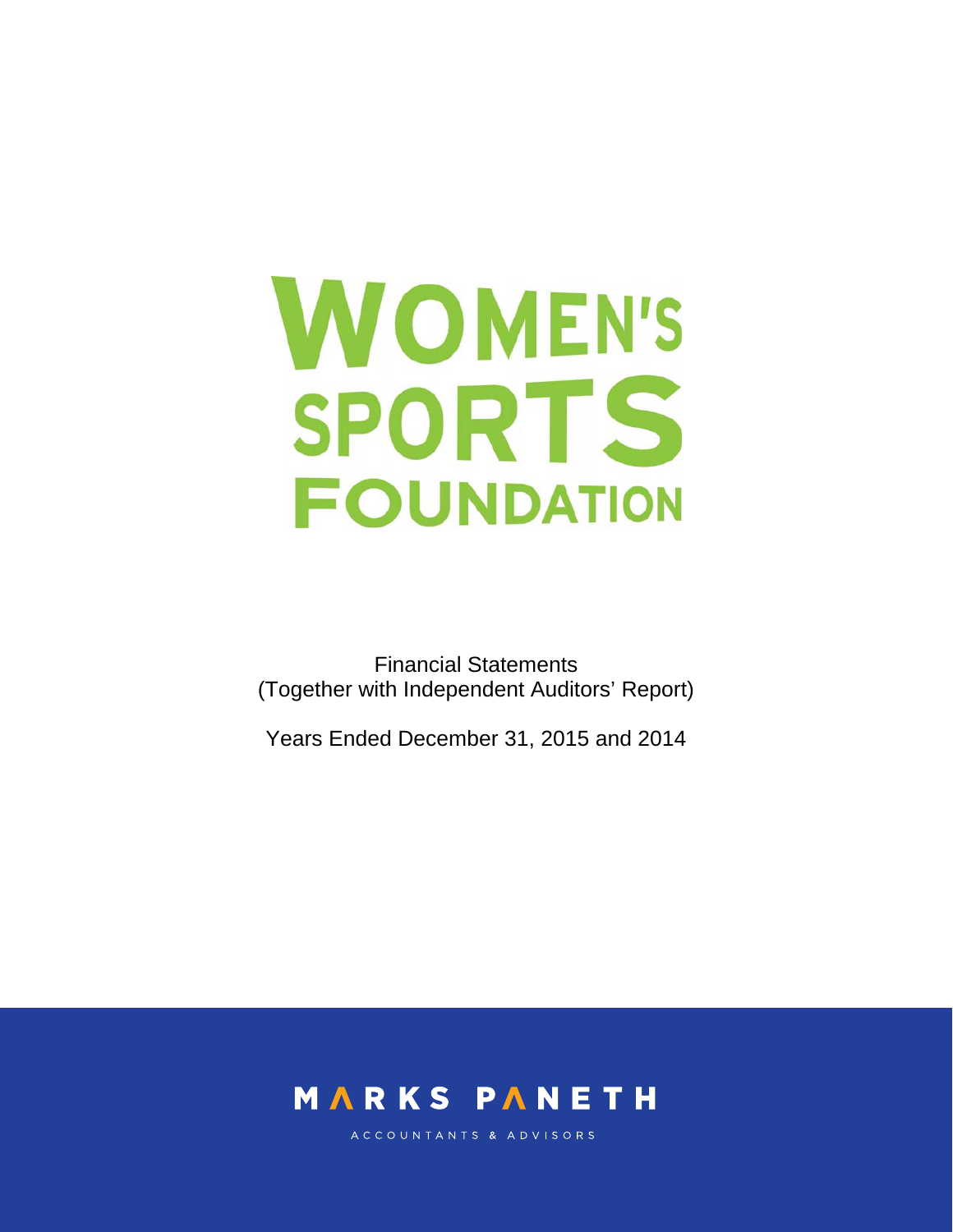# **WOMEN'S** SPORTS **FOUNDATION**

Financial Statements (Together with Independent Auditors' Report)

Years Ended December 31, 2015 and 2014



ACCOUNTANTS & ADVISORS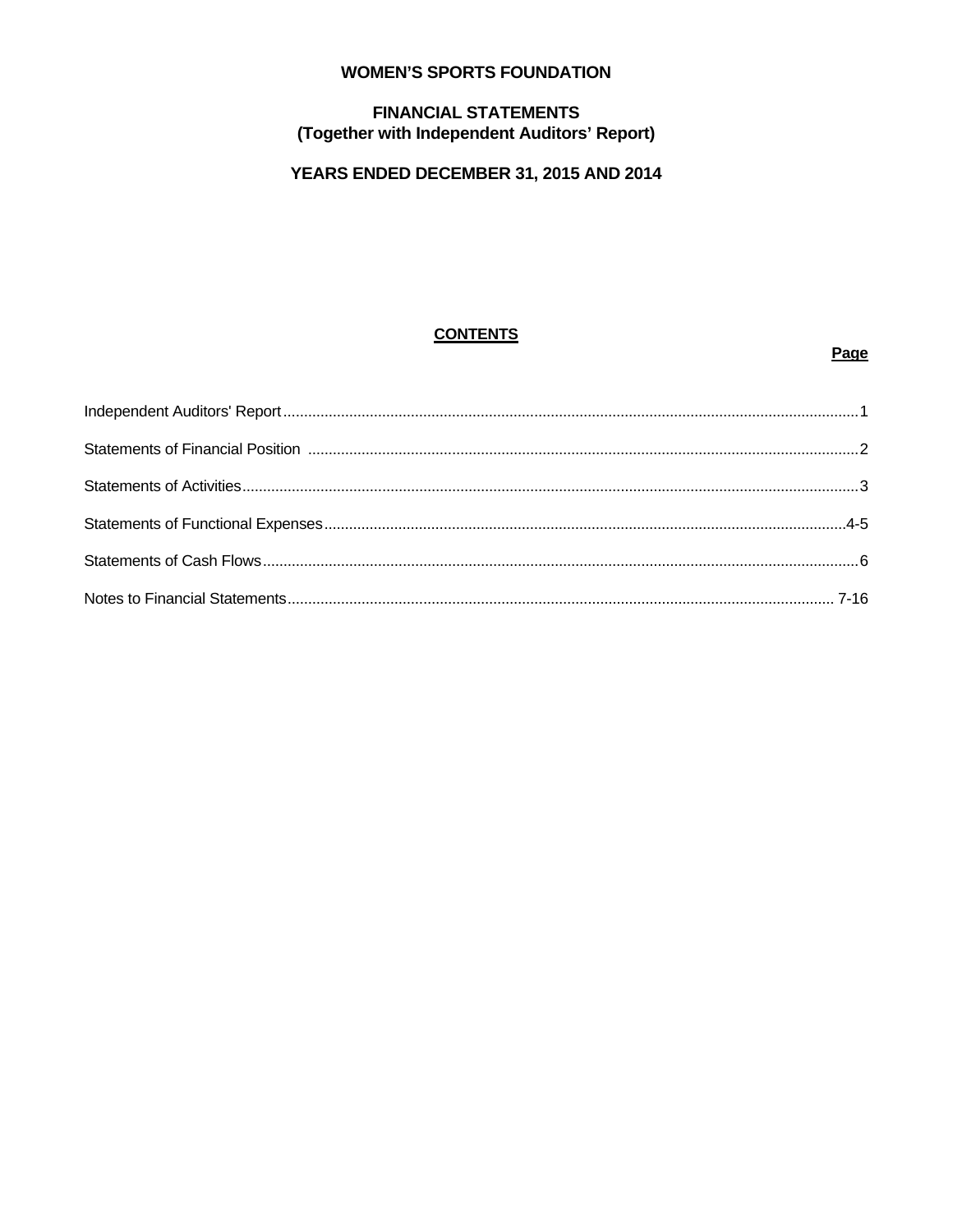# **WOMEN'S SPORTS FOUNDATION**

# **FINANCIAL STATEMENTS** (Together with Independent Auditors' Report)

# YEARS ENDED DECEMBER 31, 2015 AND 2014

# **CONTENTS**

# Page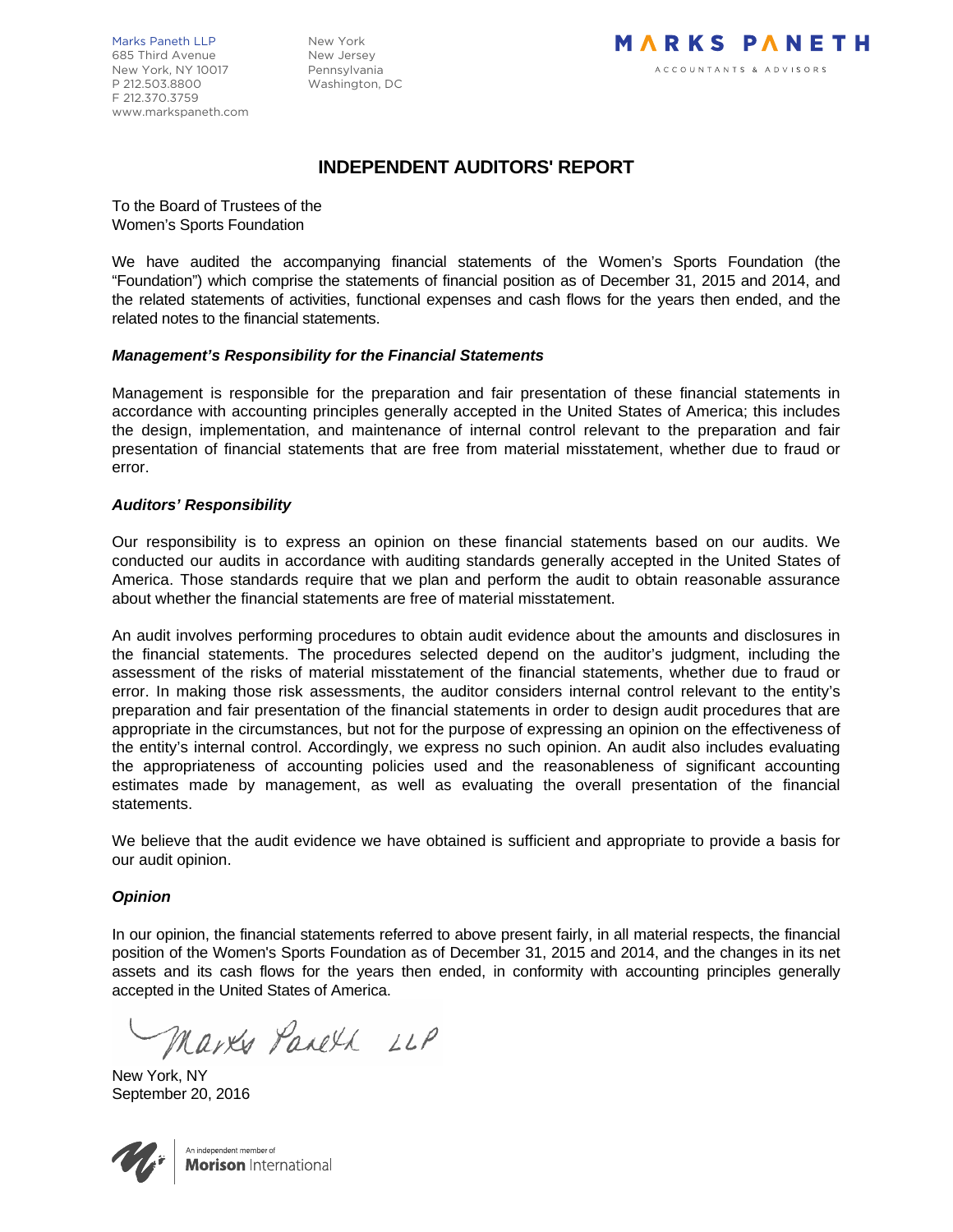Marks Paneth LLP New York 685 Third Avenue New Jersey New York, NY 10017 Pennsylvania<br>
P 212 503 8800 Washington F 212.370.3759 www.markspaneth.com

Washington, DC



# **INDEPENDENT AUDITORS' REPORT**

To the Board of Trustees of the Women's Sports Foundation

We have audited the accompanying financial statements of the Women's Sports Foundation (the "Foundation") which comprise the statements of financial position as of December 31, 2015 and 2014, and the related statements of activities, functional expenses and cash flows for the years then ended, and the related notes to the financial statements.

#### *Management's Responsibility for the Financial Statements*

Management is responsible for the preparation and fair presentation of these financial statements in accordance with accounting principles generally accepted in the United States of America; this includes the design, implementation, and maintenance of internal control relevant to the preparation and fair presentation of financial statements that are free from material misstatement, whether due to fraud or error.

#### *Auditors' Responsibility*

Our responsibility is to express an opinion on these financial statements based on our audits. We conducted our audits in accordance with auditing standards generally accepted in the United States of America. Those standards require that we plan and perform the audit to obtain reasonable assurance about whether the financial statements are free of material misstatement.

An audit involves performing procedures to obtain audit evidence about the amounts and disclosures in the financial statements. The procedures selected depend on the auditor's judgment, including the assessment of the risks of material misstatement of the financial statements, whether due to fraud or error. In making those risk assessments, the auditor considers internal control relevant to the entity's preparation and fair presentation of the financial statements in order to design audit procedures that are appropriate in the circumstances, but not for the purpose of expressing an opinion on the effectiveness of the entity's internal control. Accordingly, we express no such opinion. An audit also includes evaluating the appropriateness of accounting policies used and the reasonableness of significant accounting estimates made by management, as well as evaluating the overall presentation of the financial statements.

We believe that the audit evidence we have obtained is sufficient and appropriate to provide a basis for our audit opinion.

#### *Opinion*

In our opinion, the financial statements referred to above present fairly, in all material respects, the financial position of the Women's Sports Foundation as of December 31, 2015 and 2014, and the changes in its net assets and its cash flows for the years then ended, in conformity with accounting principles generally accepted in the United States of America.

Marks Paneth LLP

New York, NY September 20, 2016



An independent member of **Morison** International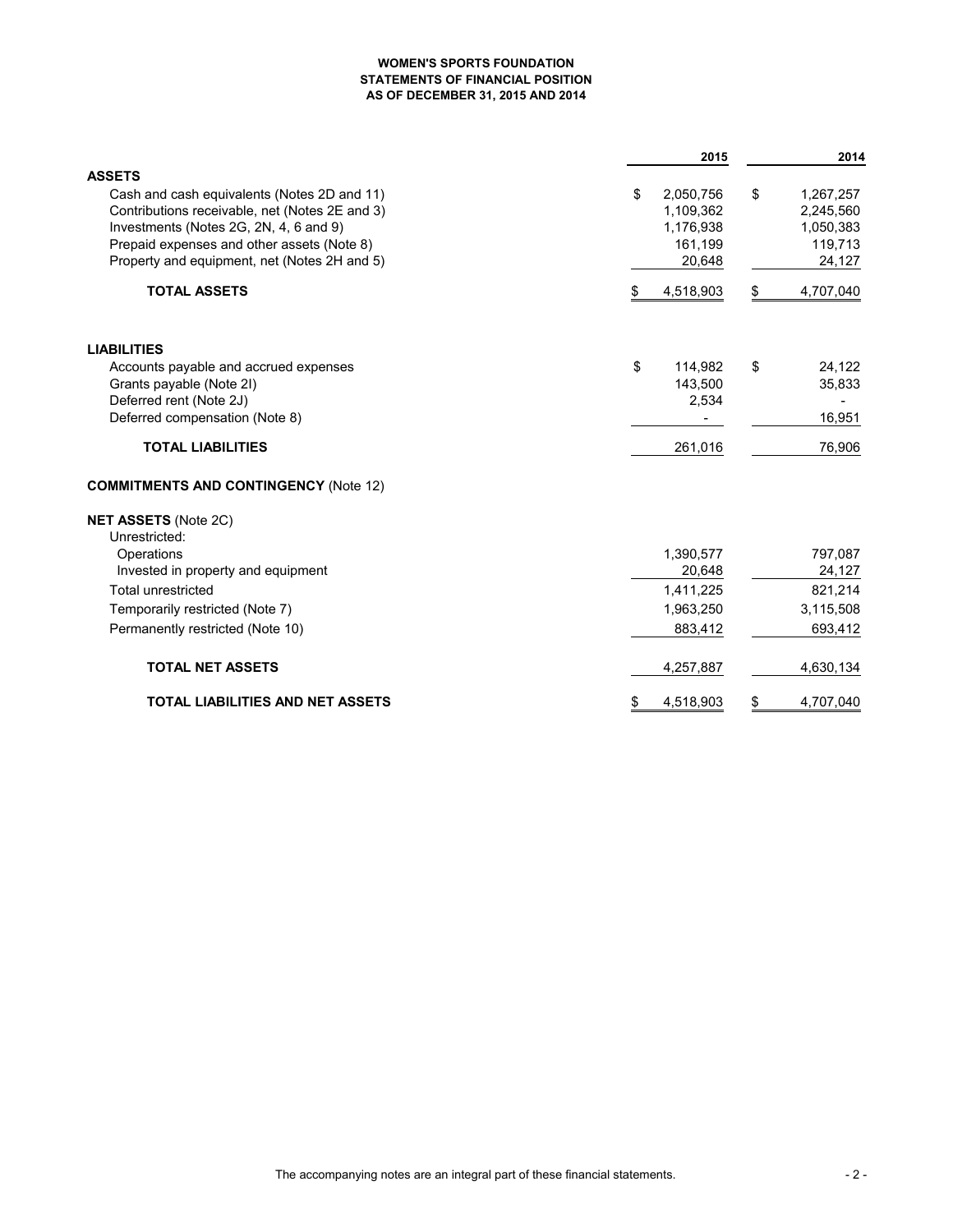#### **WOMEN'S SPORTS FOUNDATION STATEMENTS OF FINANCIAL POSITION AS OF DECEMBER 31, 2015 AND 2014**

|                                                | 2015            | 2014            |
|------------------------------------------------|-----------------|-----------------|
| <b>ASSETS</b>                                  |                 |                 |
| Cash and cash equivalents (Notes 2D and 11)    | \$<br>2,050,756 | \$<br>1,267,257 |
| Contributions receivable, net (Notes 2E and 3) | 1,109,362       | 2,245,560       |
| Investments (Notes 2G, 2N, 4, 6 and 9)         | 1,176,938       | 1,050,383       |
| Prepaid expenses and other assets (Note 8)     | 161,199         | 119,713         |
| Property and equipment, net (Notes 2H and 5)   | 20,648          | 24,127          |
| <b>TOTAL ASSETS</b>                            | \$<br>4,518,903 | \$<br>4,707,040 |
| <b>LIABILITIES</b>                             |                 |                 |
| Accounts payable and accrued expenses          | \$<br>114,982   | \$<br>24,122    |
| Grants payable (Note 2I)                       | 143,500         | 35,833          |
| Deferred rent (Note 2J)                        | 2,534           |                 |
| Deferred compensation (Note 8)                 |                 | 16,951          |
| <b>TOTAL LIABILITIES</b>                       | 261,016         | 76,906          |
| <b>COMMITMENTS AND CONTINGENCY (Note 12)</b>   |                 |                 |
| <b>NET ASSETS (Note 2C)</b>                    |                 |                 |
| Unrestricted:                                  |                 |                 |
| Operations                                     | 1,390,577       | 797,087         |
| Invested in property and equipment             | 20,648          | 24,127          |
| <b>Total unrestricted</b>                      | 1,411,225       | 821,214         |
| Temporarily restricted (Note 7)                | 1,963,250       | 3,115,508       |
| Permanently restricted (Note 10)               | 883,412         | 693,412         |
| <b>TOTAL NET ASSETS</b>                        | 4,257,887       | 4,630,134       |
| <b>TOTAL LIABILITIES AND NET ASSETS</b>        | 4,518,903<br>\$ | \$<br>4,707,040 |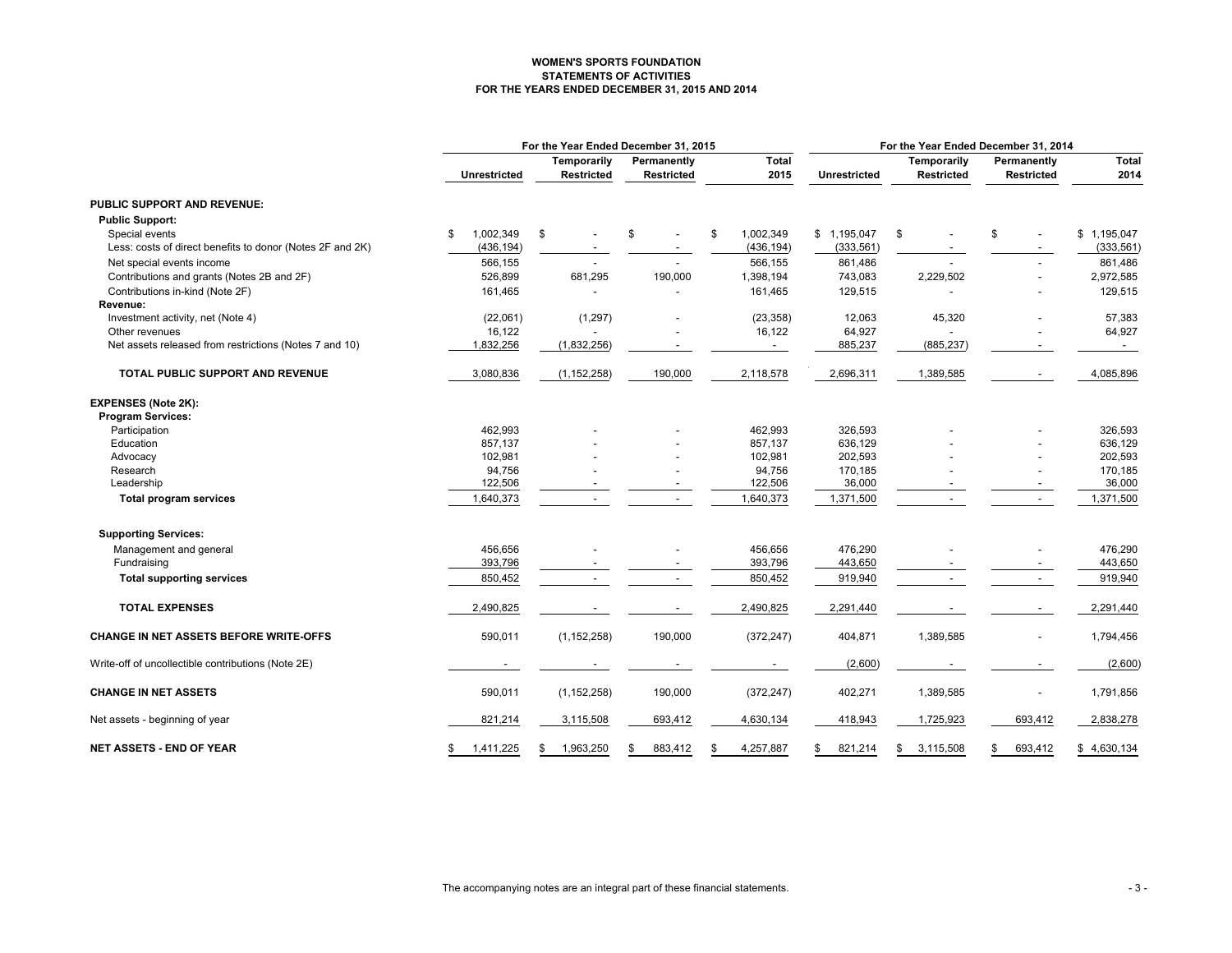#### **WOMEN'S SPORTS FOUNDATION STATEMENTS OF ACTIVITIES FOR THE YEARS ENDED DECEMBER 31, 2015 AND 2014**

|                                                           |                     | For the Year Ended December 31, 2015    |                                  |                      | For the Year Ended December 31, 2014 |                     |     |                                         |    |                                  |               |
|-----------------------------------------------------------|---------------------|-----------------------------------------|----------------------------------|----------------------|--------------------------------------|---------------------|-----|-----------------------------------------|----|----------------------------------|---------------|
|                                                           | <b>Unrestricted</b> | <b>Temporarily</b><br><b>Restricted</b> | Permanently<br><b>Restricted</b> | <b>Total</b><br>2015 |                                      | <b>Unrestricted</b> |     | <b>Temporarily</b><br><b>Restricted</b> |    | Permanently<br><b>Restricted</b> | Total<br>2014 |
| PUBLIC SUPPORT AND REVENUE:                               |                     |                                         |                                  |                      |                                      |                     |     |                                         |    |                                  |               |
| <b>Public Support:</b>                                    |                     |                                         |                                  |                      |                                      |                     |     |                                         |    |                                  |               |
| Special events                                            | \$<br>1,002,349     | \$                                      | \$                               | \$<br>1,002,349      |                                      | \$1,195,047         | \$  |                                         | \$ |                                  | \$1,195,047   |
| Less: costs of direct benefits to donor (Notes 2F and 2K) | (436, 194)          |                                         |                                  | (436, 194)           |                                      | (333, 561)          |     |                                         |    |                                  | (333, 561)    |
| Net special events income                                 | 566,155             |                                         |                                  | 566,155              |                                      | 861,486             |     |                                         |    |                                  | 861,486       |
| Contributions and grants (Notes 2B and 2F)                | 526,899             | 681,295                                 | 190,000                          | 1,398,194            |                                      | 743,083             |     | 2,229,502                               |    |                                  | 2,972,585     |
| Contributions in-kind (Note 2F)                           | 161,465             |                                         |                                  | 161,465              |                                      | 129,515             |     |                                         |    |                                  | 129,515       |
| Revenue:                                                  |                     |                                         |                                  |                      |                                      |                     |     |                                         |    |                                  |               |
| Investment activity, net (Note 4)                         | (22,061)            | (1, 297)                                |                                  | (23, 358)            |                                      | 12,063              |     | 45,320                                  |    |                                  | 57,383        |
| Other revenues                                            | 16,122              |                                         |                                  | 16,122               |                                      | 64,927              |     |                                         |    |                                  | 64,927        |
| Net assets released from restrictions (Notes 7 and 10)    | 1,832,256           | (1,832,256)                             |                                  | $\sim$               |                                      | 885,237             |     | (885, 237)                              |    |                                  | $\sim$        |
| TOTAL PUBLIC SUPPORT AND REVENUE                          | 3,080,836           | (1, 152, 258)                           | 190,000                          | 2,118,578            |                                      | 2,696,311           |     | 1,389,585                               |    |                                  | 4,085,896     |
| <b>EXPENSES (Note 2K):</b>                                |                     |                                         |                                  |                      |                                      |                     |     |                                         |    |                                  |               |
| <b>Program Services:</b>                                  |                     |                                         |                                  |                      |                                      |                     |     |                                         |    |                                  |               |
| Participation                                             | 462.993             |                                         |                                  | 462.993              |                                      | 326,593             |     |                                         |    |                                  | 326.593       |
| Education                                                 | 857,137             |                                         |                                  | 857,137              |                                      | 636,129             |     |                                         |    |                                  | 636,129       |
| Advocacy                                                  | 102,981             |                                         |                                  | 102,981              |                                      | 202,593             |     |                                         |    |                                  | 202,593       |
| Research                                                  | 94,756              |                                         |                                  | 94,756               |                                      | 170,185             |     |                                         |    |                                  | 170,185       |
| Leadership                                                | 122,506             |                                         |                                  | 122,506              |                                      | 36,000              |     |                                         |    |                                  | 36,000        |
| <b>Total program services</b>                             | 1,640,373           |                                         |                                  | 1,640,373            |                                      | 1,371,500           |     |                                         |    | $\overline{\phantom{0}}$         | 1,371,500     |
| <b>Supporting Services:</b>                               |                     |                                         |                                  |                      |                                      |                     |     |                                         |    |                                  |               |
| Management and general                                    | 456,656             |                                         |                                  | 456.656              |                                      | 476,290             |     |                                         |    |                                  | 476,290       |
| Fundraising                                               | 393,796             |                                         |                                  | 393,796              |                                      | 443,650             |     |                                         |    |                                  | 443,650       |
| <b>Total supporting services</b>                          | 850,452             |                                         |                                  | 850,452              |                                      | 919,940             |     |                                         |    |                                  | 919,940       |
|                                                           |                     |                                         |                                  |                      |                                      |                     |     |                                         |    |                                  |               |
| <b>TOTAL EXPENSES</b>                                     | 2,490,825           |                                         |                                  | 2,490,825            |                                      | 2,291,440           |     |                                         |    |                                  | 2,291,440     |
| <b>CHANGE IN NET ASSETS BEFORE WRITE-OFFS</b>             | 590,011             | (1, 152, 258)                           | 190,000                          | (372, 247)           |                                      | 404,871             |     | 1,389,585                               |    |                                  | 1,794,456     |
| Write-off of uncollectible contributions (Note 2E)        |                     |                                         |                                  |                      |                                      | (2,600)             |     |                                         |    |                                  | (2,600)       |
| <b>CHANGE IN NET ASSETS</b>                               | 590,011             | (1, 152, 258)                           | 190,000                          | (372, 247)           |                                      | 402,271             |     | 1,389,585                               |    |                                  | 1,791,856     |
| Net assets - beginning of year                            | 821,214             | 3,115,508                               | 693,412                          | 4,630,134            |                                      | 418,943             |     | 1,725,923                               |    | 693,412                          | 2,838,278     |
| <b>NET ASSETS - END OF YEAR</b>                           | \$<br>1,411,225     | \$<br>1,963,250                         | 883,412                          | 4,257,887            | \$                                   | 821,214             | \$. | 3,115,508                               | \$ | 693,412                          | \$4,630,134   |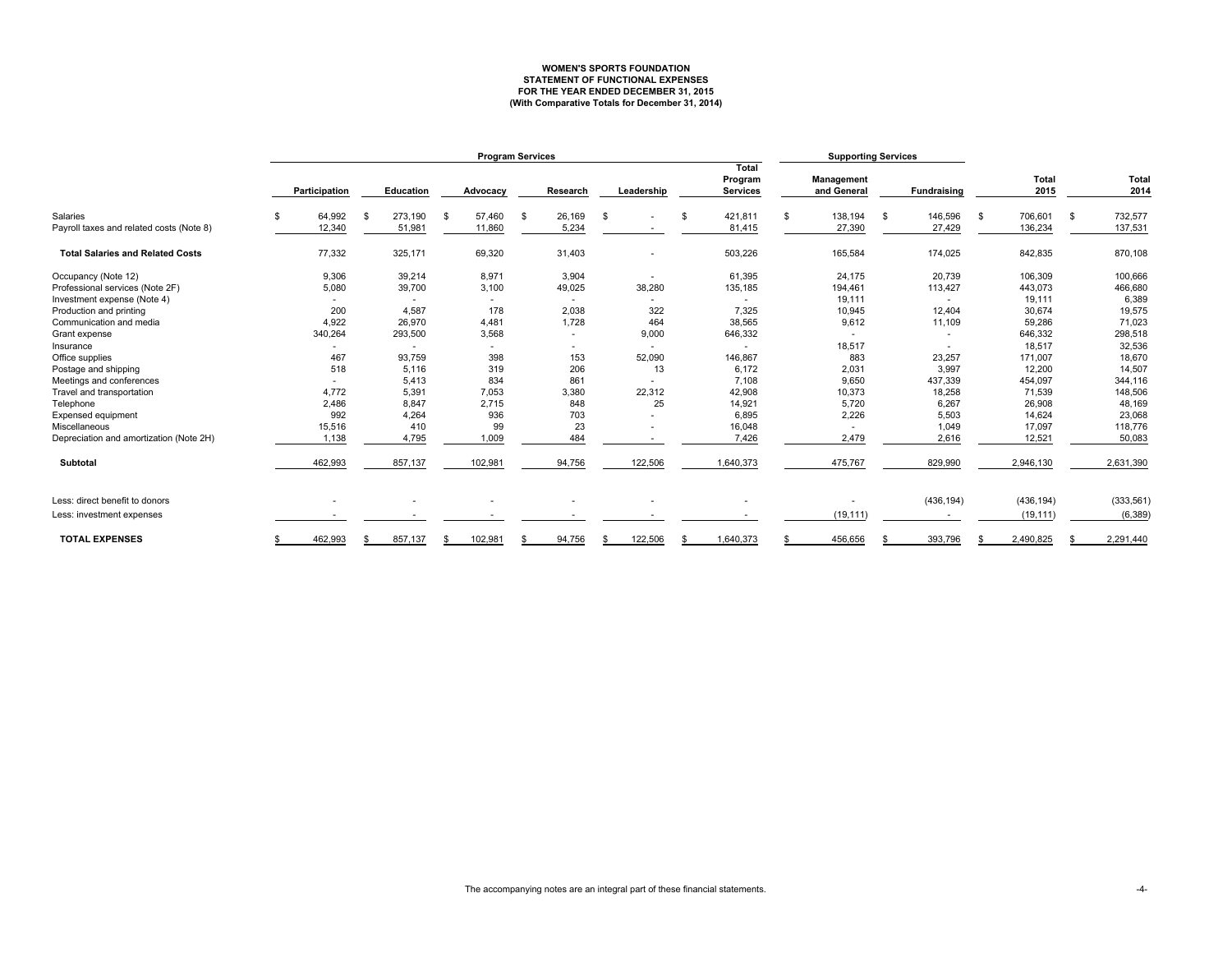# **WOMEN'S SPORTS FOUNDATION STATEMENT OF FUNCTIONAL EXPENSES FOR THE YEAR ENDED DECEMBER 31, 2015 (With Comparative Totals for December 31, 2014)**

|                                                      | <b>Program Services</b> |    |                   |  |                  |      |                          |    |            | <b>Supporting Services</b> |                                            |                           |    |                    |    |                    |          |                      |
|------------------------------------------------------|-------------------------|----|-------------------|--|------------------|------|--------------------------|----|------------|----------------------------|--------------------------------------------|---------------------------|----|--------------------|----|--------------------|----------|----------------------|
|                                                      | Participation           |    | Education         |  | Advocacy         |      | Research                 |    | Leadership |                            | <b>Total</b><br>Program<br><b>Services</b> | Management<br>and General |    | <b>Fundraising</b> |    | Total<br>2015      |          | <b>Total</b><br>2014 |
| Salaries<br>Payroll taxes and related costs (Note 8) | \$<br>64,992<br>12,340  | \$ | 273,190<br>51,981 |  | 57,460<br>11,860 | - \$ | 26,169<br>5,234          | \$ | ÷          | \$                         | 421,811<br>81,415                          | \$<br>138,194<br>27,390   | S. | 146,596<br>27,429  | \$ | 706,601<br>136,234 | <b>S</b> | 732,577<br>137,531   |
| <b>Total Salaries and Related Costs</b>              | 77,332                  |    | 325,171           |  | 69,320           |      | 31,403                   |    | $\sim$     |                            | 503,226                                    | 165,584                   |    | 174,025            |    | 842,835            |          | 870,108              |
| Occupancy (Note 12)                                  | 9,306                   |    | 39,214            |  | 8,971            |      | 3,904                    |    | $\sim$     |                            | 61,395                                     | 24,175                    |    | 20,739             |    | 106,309            |          | 100,666              |
| Professional services (Note 2F)                      | 5,080                   |    | 39,700            |  | 3,100            |      | 49,025                   |    | 38,280     |                            | 135,185                                    | 194,461                   |    | 113,427            |    | 443,073            |          | 466,680              |
| Investment expense (Note 4)                          |                         |    |                   |  |                  |      | $\sim$                   |    |            |                            | $\sim$                                     | 19,111                    |    |                    |    | 19,111             |          | 6,389                |
| Production and printing                              | 200                     |    | 4,587             |  | 178              |      | 2,038                    |    | 322        |                            | 7,325                                      | 10,945                    |    | 12,404             |    | 30,674             |          | 19,575               |
| Communication and media                              | 4,922                   |    | 26,970            |  | 4,481            |      | 1,728                    |    | 464        |                            | 38,565                                     | 9,612                     |    | 11,109             |    | 59,286             |          | 71,023               |
| Grant expense                                        | 340,264                 |    | 293,500           |  | 3,568            |      | $\overline{\phantom{a}}$ |    | 9,000      |                            | 646,332                                    |                           |    |                    |    | 646,332            |          | 298,518              |
| Insurance                                            |                         |    |                   |  |                  |      |                          |    |            |                            | $\sim$                                     | 18,517                    |    |                    |    | 18,517             |          | 32,536               |
| Office supplies                                      | 467                     |    | 93.759            |  | 398              |      | 153                      |    | 52,090     |                            | 146,867                                    | 883                       |    | 23,257             |    | 171,007            |          | 18,670               |
| Postage and shipping                                 | 518                     |    | 5,116             |  | 319              |      | 206                      |    | 13         |                            | 6,172                                      | 2,031                     |    | 3,997              |    | 12,200             |          | 14,507               |
| Meetings and conferences                             |                         |    | 5,413             |  | 834              |      | 861                      |    |            |                            | 7,108                                      | 9,650                     |    | 437,339            |    | 454,097            |          | 344,116              |
| Travel and transportation                            | 4.772                   |    | 5,391             |  | 7,053            |      | 3,380                    |    | 22,312     |                            | 42,908                                     | 10,373                    |    | 18,258             |    | 71,539             |          | 148,506              |
| Telephone                                            | 2,486                   |    | 8,847             |  | 2,715            |      | 848                      |    | 25         |                            | 14,921                                     | 5,720                     |    | 6,267              |    | 26,908             |          | 48,169               |
| <b>Expensed equipment</b>                            | 992                     |    | 4,264             |  | 936              |      | 703                      |    |            |                            | 6,895                                      | 2,226                     |    | 5,503              |    | 14,624             |          | 23,068               |
| Miscellaneous                                        | 15,516                  |    | 410               |  | 99               |      | 23                       |    |            |                            | 16,048                                     | $\overline{\phantom{a}}$  |    | 1,049              |    | 17,097             |          | 118,776              |
| Depreciation and amortization (Note 2H)              | 1,138                   |    | 4,795             |  | 1,009            |      | 484                      |    |            |                            | 7,426                                      | 2,479                     |    | 2,616              |    | 12,521             |          | 50,083               |
| Subtotal                                             | 462,993                 |    | 857,137           |  | 102,981          |      | 94,756                   |    | 122,506    |                            | 1,640,373                                  | 475,767                   |    | 829,990            |    | 2,946,130          |          | 2,631,390            |
| Less: direct benefit to donors                       |                         |    |                   |  |                  |      |                          |    |            |                            |                                            |                           |    | (436, 194)         |    | (436, 194)         |          | (333, 561)           |
| Less: investment expenses                            |                         |    |                   |  |                  |      |                          |    |            |                            |                                            | (19, 111)                 |    |                    |    | (19, 111)          |          | (6, 389)             |
| <b>TOTAL EXPENSES</b>                                | 462,993                 |    | 857,137           |  | 102,981          |      | 94,756                   | -8 | 122,506    | -96                        | 1,640,373                                  | 456,656                   |    | 393,796            |    | 2,490,825          |          | 2.291.440            |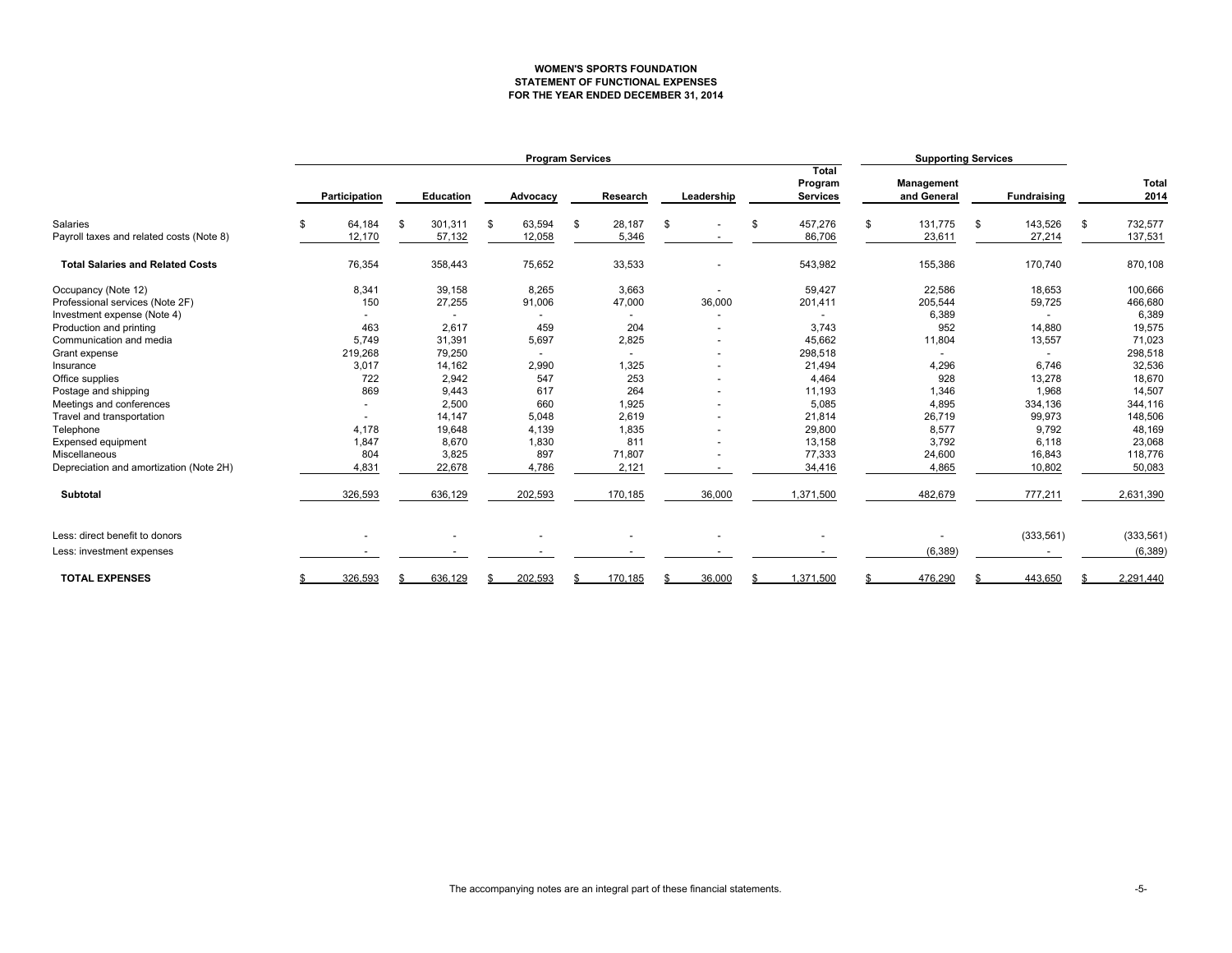#### **WOMEN'S SPORTS FOUNDATION STATEMENT OF FUNCTIONAL EXPENSES FOR THE YEAR ENDED DECEMBER 31, 2014**

|                                          |    | <b>Program Services</b> |      |                  |    |          |    |          |      |            |   |                                            | <b>Supporting Services</b>       |                          |                      |
|------------------------------------------|----|-------------------------|------|------------------|----|----------|----|----------|------|------------|---|--------------------------------------------|----------------------------------|--------------------------|----------------------|
|                                          |    | Participation           |      | <b>Education</b> |    | Advocacy |    | Research |      | Leadership |   | <b>Total</b><br>Program<br><b>Services</b> | <b>Management</b><br>and General | Fundraising              | <b>Total</b><br>2014 |
| Salaries                                 | £. | 64,184                  | - \$ | 301,311          | \$ | 63,594   | \$ | 28,187   | - \$ |            | S | 457,276                                    | \$<br>131,775                    | \$<br>143,526            | \$<br>732,577        |
| Payroll taxes and related costs (Note 8) |    | 12,170                  |      | 57,132           |    | 12,058   |    | 5,346    |      |            |   | 86,706                                     | 23,611                           | 27,214                   | 137,531              |
| <b>Total Salaries and Related Costs</b>  |    | 76,354                  |      | 358,443          |    | 75,652   |    | 33,533   |      |            |   | 543,982                                    | 155,386                          | 170,740                  | 870,108              |
| Occupancy (Note 12)                      |    | 8,341                   |      | 39,158           |    | 8,265    |    | 3,663    |      |            |   | 59,427                                     | 22,586                           | 18,653                   | 100,666              |
| Professional services (Note 2F)          |    | 150                     |      | 27,255           |    | 91,006   |    | 47,000   |      | 36,000     |   | 201,411                                    | 205,544                          | 59,725                   | 466,680              |
| Investment expense (Note 4)              |    |                         |      | $\sim$           |    |          |    |          |      |            |   | $\overline{\phantom{a}}$                   | 6,389                            | $\overline{\phantom{a}}$ | 6,389                |
| Production and printing                  |    | 463                     |      | 2,617            |    | 459      |    | 204      |      |            |   | 3,743                                      | 952                              | 14,880                   | 19,575               |
| Communication and media                  |    | 5,749                   |      | 31,391           |    | 5,697    |    | 2,825    |      |            |   | 45,662                                     | 11,804                           | 13,557                   | 71,023               |
| Grant expense                            |    | 219,268                 |      | 79,250           |    |          |    |          |      |            |   | 298,518                                    |                                  |                          | 298,518              |
| Insurance                                |    | 3,017                   |      | 14,162           |    | 2,990    |    | 1,325    |      |            |   | 21,494                                     | 4,296                            | 6.746                    | 32,536               |
| Office supplies                          |    | 722                     |      | 2,942            |    | 547      |    | 253      |      |            |   | 4,464                                      | 928                              | 13,278                   | 18,670               |
| Postage and shipping                     |    | 869                     |      | 9.443            |    | 617      |    | 264      |      |            |   | 11,193                                     | 1,346                            | 1,968                    | 14,507               |
| Meetings and conferences                 |    |                         |      | 2,500            |    | 660      |    | 1,925    |      |            |   | 5,085                                      | 4,895                            | 334,136                  | 344,116              |
| Travel and transportation                |    |                         |      | 14,147           |    | 5,048    |    | 2,619    |      |            |   | 21,814                                     | 26,719                           | 99,973                   | 148,506              |
| Telephone                                |    | 4,178                   |      | 19,648           |    | 4,139    |    | 1,835    |      |            |   | 29,800                                     | 8,577                            | 9,792                    | 48,169               |
| Expensed equipment                       |    | 1,847                   |      | 8,670            |    | 1,830    |    | 811      |      |            |   | 13,158                                     | 3,792                            | 6,118                    | 23,068               |
| Miscellaneous                            |    | 804                     |      | 3,825            |    | 897      |    | 71,807   |      |            |   | 77,333                                     | 24,600                           | 16,843                   | 118,776              |
| Depreciation and amortization (Note 2H)  |    | 4,831                   |      | 22,678           |    | 4,786    |    | 2,121    |      |            |   | 34,416                                     | 4,865                            | 10,802                   | 50,083               |
| <b>Subtotal</b>                          |    | 326,593                 |      | 636,129          |    | 202,593  |    | 170,185  |      | 36,000     |   | 1,371,500                                  | 482,679                          | 777,211                  | 2,631,390            |
| Less: direct benefit to donors           |    |                         |      |                  |    |          |    |          |      |            |   |                                            |                                  | (333, 561)               | (333, 561)           |
| Less: investment expenses                |    |                         |      |                  |    |          |    |          |      |            |   |                                            | (6, 389)                         |                          | (6, 389)             |
| <b>TOTAL EXPENSES</b>                    |    | 326,593                 |      | 636,129          |    | 202,593  |    | 170,185  |      | 36,000     |   | 1,371,500                                  | 476,290                          | 443,650                  | 2,291,440            |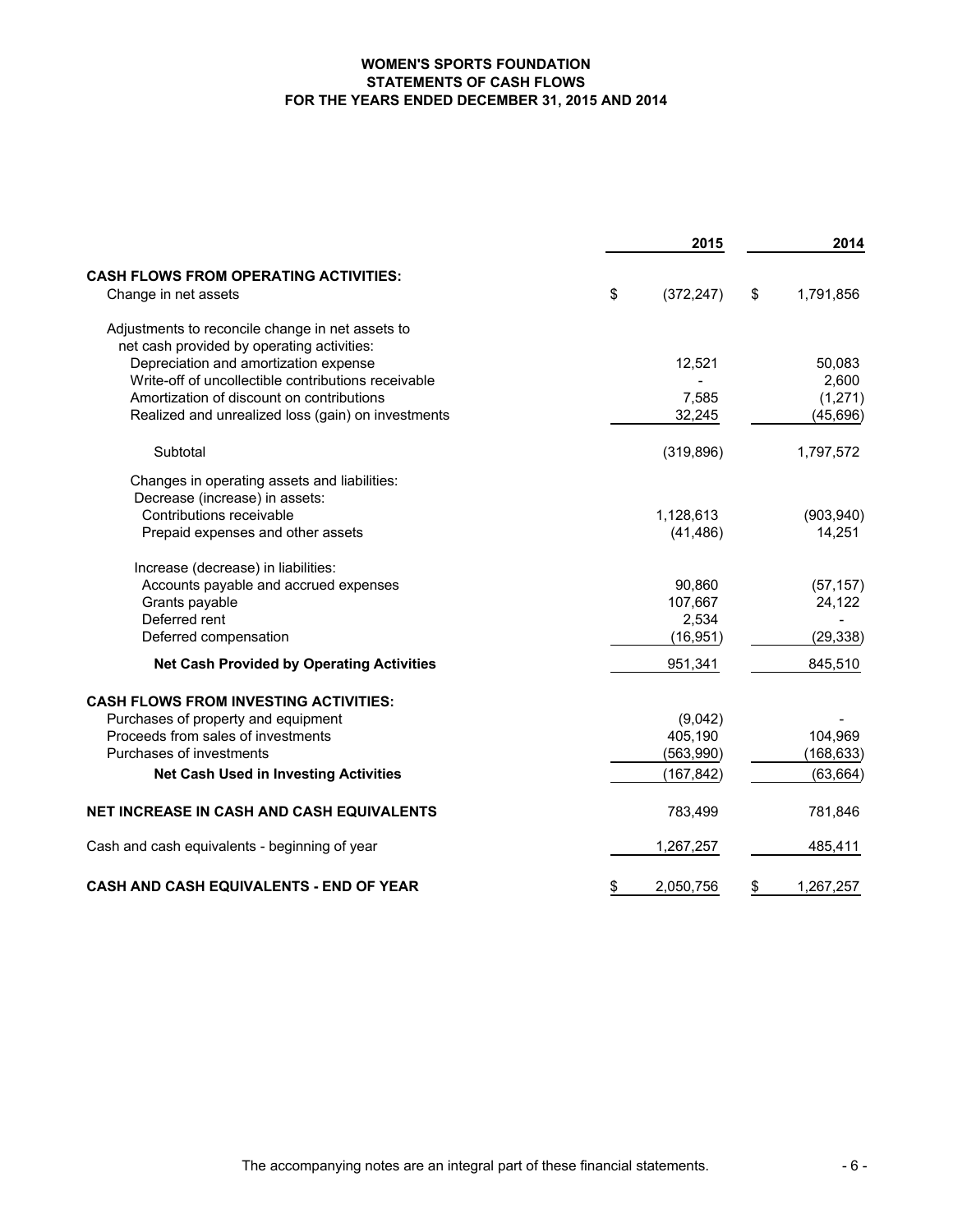# **WOMEN'S SPORTS FOUNDATION STATEMENTS OF CASH FLOWS FOR THE YEARS ENDED DECEMBER 31, 2015 AND 2014**

|                                                                                                | 2015             | 2014            |
|------------------------------------------------------------------------------------------------|------------------|-----------------|
| <b>CASH FLOWS FROM OPERATING ACTIVITIES:</b>                                                   |                  |                 |
| Change in net assets                                                                           | \$<br>(372, 247) | \$<br>1,791,856 |
| Adjustments to reconcile change in net assets to<br>net cash provided by operating activities: |                  |                 |
| Depreciation and amortization expense                                                          | 12,521           | 50,083          |
| Write-off of uncollectible contributions receivable                                            |                  | 2,600           |
| Amortization of discount on contributions                                                      | 7,585            | (1, 271)        |
| Realized and unrealized loss (gain) on investments                                             | 32,245           | (45, 696)       |
| Subtotal                                                                                       | (319, 896)       | 1,797,572       |
| Changes in operating assets and liabilities:<br>Decrease (increase) in assets:                 |                  |                 |
| Contributions receivable                                                                       | 1,128,613        | (903, 940)      |
| Prepaid expenses and other assets                                                              | (41, 486)        | 14,251          |
| Increase (decrease) in liabilities:                                                            |                  |                 |
| Accounts payable and accrued expenses                                                          | 90,860           | (57, 157)       |
| Grants payable                                                                                 | 107,667          | 24,122          |
| Deferred rent                                                                                  | 2,534            |                 |
| Deferred compensation                                                                          | (16, 951)        | (29, 338)       |
| <b>Net Cash Provided by Operating Activities</b>                                               | 951,341          | 845,510         |
| <b>CASH FLOWS FROM INVESTING ACTIVITIES:</b>                                                   |                  |                 |
| Purchases of property and equipment                                                            | (9,042)          |                 |
| Proceeds from sales of investments                                                             | 405,190          | 104,969         |
| Purchases of investments                                                                       | (563,990)        | (168, 633)      |
| <b>Net Cash Used in Investing Activities</b>                                                   | (167, 842)       | (63, 664)       |
| NET INCREASE IN CASH AND CASH EQUIVALENTS                                                      | 783,499          | 781,846         |
| Cash and cash equivalents - beginning of year                                                  | 1,267,257        | 485,411         |
| <b>CASH AND CASH EQUIVALENTS - END OF YEAR</b>                                                 | \$<br>2,050,756  | \$<br>1,267,257 |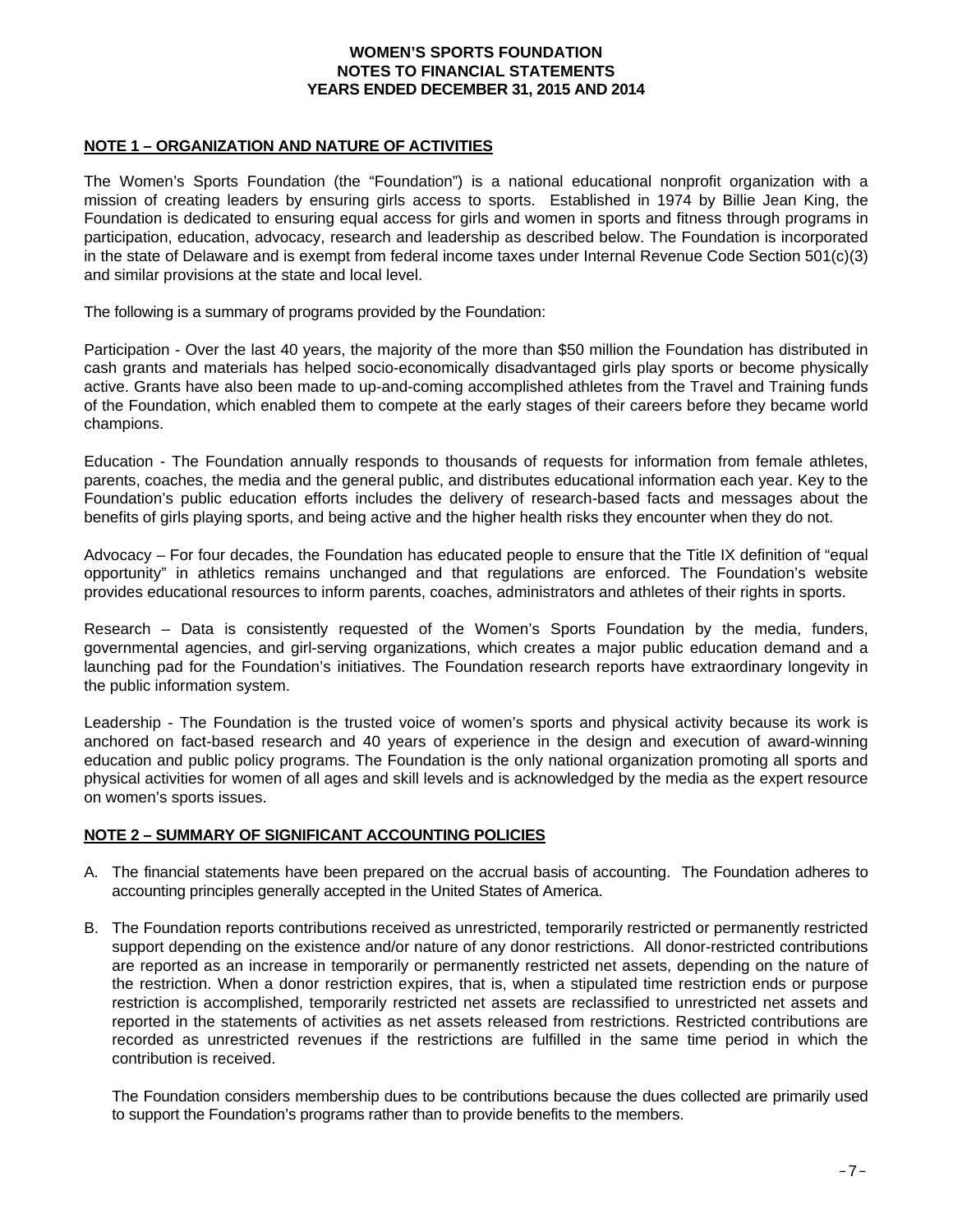# **NOTE 1 – ORGANIZATION AND NATURE OF ACTIVITIES**

The Women's Sports Foundation (the "Foundation") is a national educational nonprofit organization with a mission of creating leaders by ensuring girls access to sports. Established in 1974 by Billie Jean King, the Foundation is dedicated to ensuring equal access for girls and women in sports and fitness through programs in participation, education, advocacy, research and leadership as described below. The Foundation is incorporated in the state of Delaware and is exempt from federal income taxes under Internal Revenue Code Section 501(c)(3) and similar provisions at the state and local level.

The following is a summary of programs provided by the Foundation:

Participation - Over the last 40 years, the majority of the more than \$50 million the Foundation has distributed in cash grants and materials has helped socio-economically disadvantaged girls play sports or become physically active. Grants have also been made to up-and-coming accomplished athletes from the Travel and Training funds of the Foundation, which enabled them to compete at the early stages of their careers before they became world champions.

Education - The Foundation annually responds to thousands of requests for information from female athletes, parents, coaches, the media and the general public, and distributes educational information each year. Key to the Foundation's public education efforts includes the delivery of research-based facts and messages about the benefits of girls playing sports, and being active and the higher health risks they encounter when they do not.

Advocacy – For four decades, the Foundation has educated people to ensure that the Title IX definition of "equal opportunity" in athletics remains unchanged and that regulations are enforced. The Foundation's website provides educational resources to inform parents, coaches, administrators and athletes of their rights in sports.

Research – Data is consistently requested of the Women's Sports Foundation by the media, funders, governmental agencies, and girl-serving organizations, which creates a major public education demand and a launching pad for the Foundation's initiatives. The Foundation research reports have extraordinary longevity in the public information system.

Leadership - The Foundation is the trusted voice of women's sports and physical activity because its work is anchored on fact-based research and 40 years of experience in the design and execution of award-winning education and public policy programs. The Foundation is the only national organization promoting all sports and physical activities for women of all ages and skill levels and is acknowledged by the media as the expert resource on women's sports issues.

# **NOTE 2 – SUMMARY OF SIGNIFICANT ACCOUNTING POLICIES**

- A. The financial statements have been prepared on the accrual basis of accounting. The Foundation adheres to accounting principles generally accepted in the United States of America.
- B. The Foundation reports contributions received as unrestricted, temporarily restricted or permanently restricted support depending on the existence and/or nature of any donor restrictions. All donor-restricted contributions are reported as an increase in temporarily or permanently restricted net assets, depending on the nature of the restriction. When a donor restriction expires, that is, when a stipulated time restriction ends or purpose restriction is accomplished, temporarily restricted net assets are reclassified to unrestricted net assets and reported in the statements of activities as net assets released from restrictions. Restricted contributions are recorded as unrestricted revenues if the restrictions are fulfilled in the same time period in which the contribution is received.

The Foundation considers membership dues to be contributions because the dues collected are primarily used to support the Foundation's programs rather than to provide benefits to the members.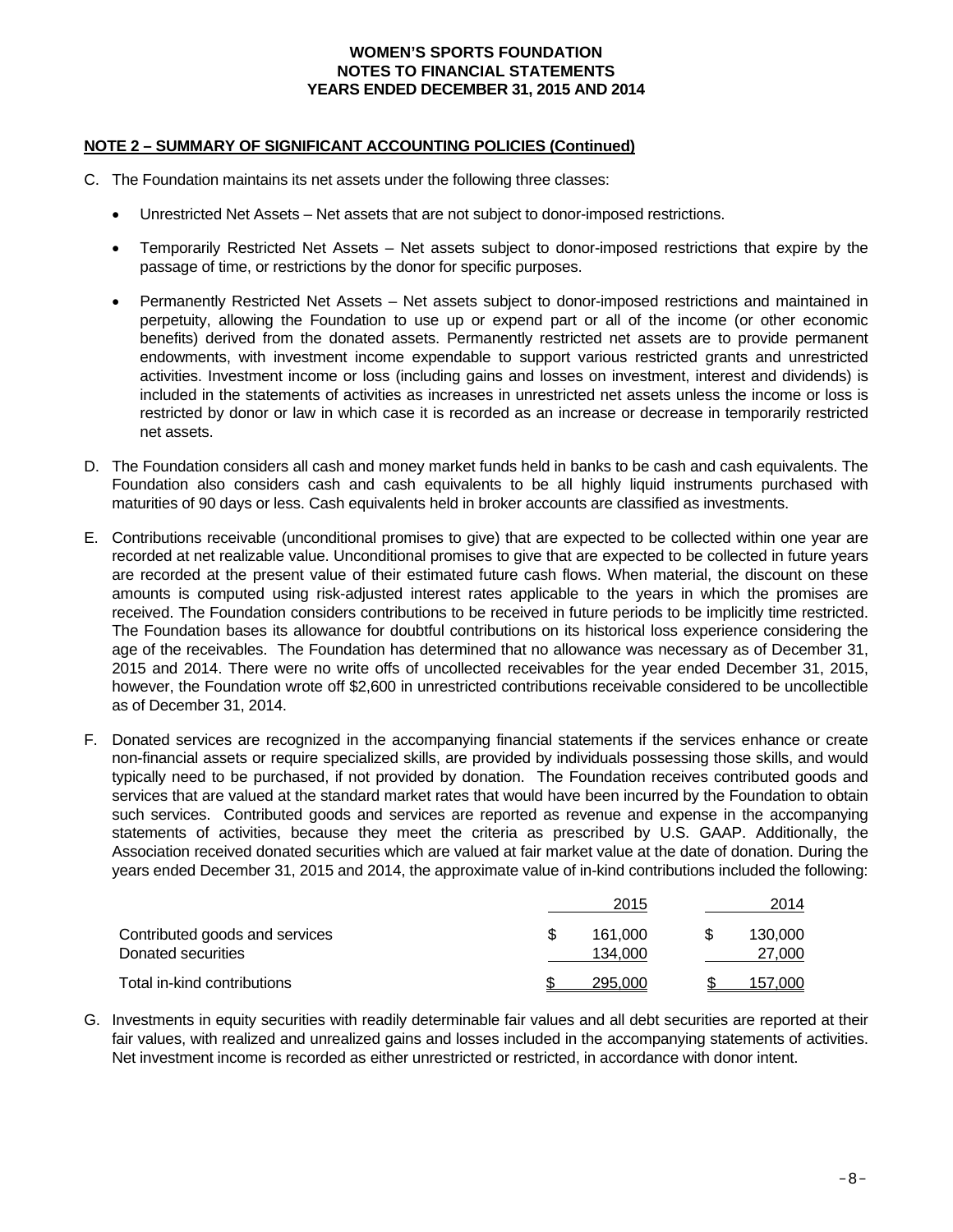# **NOTE 2 – SUMMARY OF SIGNIFICANT ACCOUNTING POLICIES (Continued)**

- C. The Foundation maintains its net assets under the following three classes:
	- Unrestricted Net Assets Net assets that are not subject to donor-imposed restrictions.
	- Temporarily Restricted Net Assets Net assets subject to donor-imposed restrictions that expire by the passage of time, or restrictions by the donor for specific purposes.
	- Permanently Restricted Net Assets Net assets subject to donor-imposed restrictions and maintained in perpetuity, allowing the Foundation to use up or expend part or all of the income (or other economic benefits) derived from the donated assets. Permanently restricted net assets are to provide permanent endowments, with investment income expendable to support various restricted grants and unrestricted activities. Investment income or loss (including gains and losses on investment, interest and dividends) is included in the statements of activities as increases in unrestricted net assets unless the income or loss is restricted by donor or law in which case it is recorded as an increase or decrease in temporarily restricted net assets.
- D. The Foundation considers all cash and money market funds held in banks to be cash and cash equivalents. The Foundation also considers cash and cash equivalents to be all highly liquid instruments purchased with maturities of 90 days or less. Cash equivalents held in broker accounts are classified as investments.
- E. Contributions receivable (unconditional promises to give) that are expected to be collected within one year are recorded at net realizable value. Unconditional promises to give that are expected to be collected in future years are recorded at the present value of their estimated future cash flows. When material, the discount on these amounts is computed using risk-adjusted interest rates applicable to the years in which the promises are received. The Foundation considers contributions to be received in future periods to be implicitly time restricted. The Foundation bases its allowance for doubtful contributions on its historical loss experience considering the age of the receivables. The Foundation has determined that no allowance was necessary as of December 31, 2015 and 2014. There were no write offs of uncollected receivables for the year ended December 31, 2015, however, the Foundation wrote off \$2,600 in unrestricted contributions receivable considered to be uncollectible as of December 31, 2014.
- F. Donated services are recognized in the accompanying financial statements if the services enhance or create non-financial assets or require specialized skills, are provided by individuals possessing those skills, and would typically need to be purchased, if not provided by donation. The Foundation receives contributed goods and services that are valued at the standard market rates that would have been incurred by the Foundation to obtain such services. Contributed goods and services are reported as revenue and expense in the accompanying statements of activities, because they meet the criteria as prescribed by U.S. GAAP. Additionally, the Association received donated securities which are valued at fair market value at the date of donation. During the years ended December 31, 2015 and 2014, the approximate value of in-kind contributions included the following:

|                                                      | 2015               | 2014              |
|------------------------------------------------------|--------------------|-------------------|
| Contributed goods and services<br>Donated securities | 161.000<br>134.000 | 130,000<br>27,000 |
| Total in-kind contributions                          | 295.000            | 157.000           |

G. Investments in equity securities with readily determinable fair values and all debt securities are reported at their fair values, with realized and unrealized gains and losses included in the accompanying statements of activities. Net investment income is recorded as either unrestricted or restricted, in accordance with donor intent.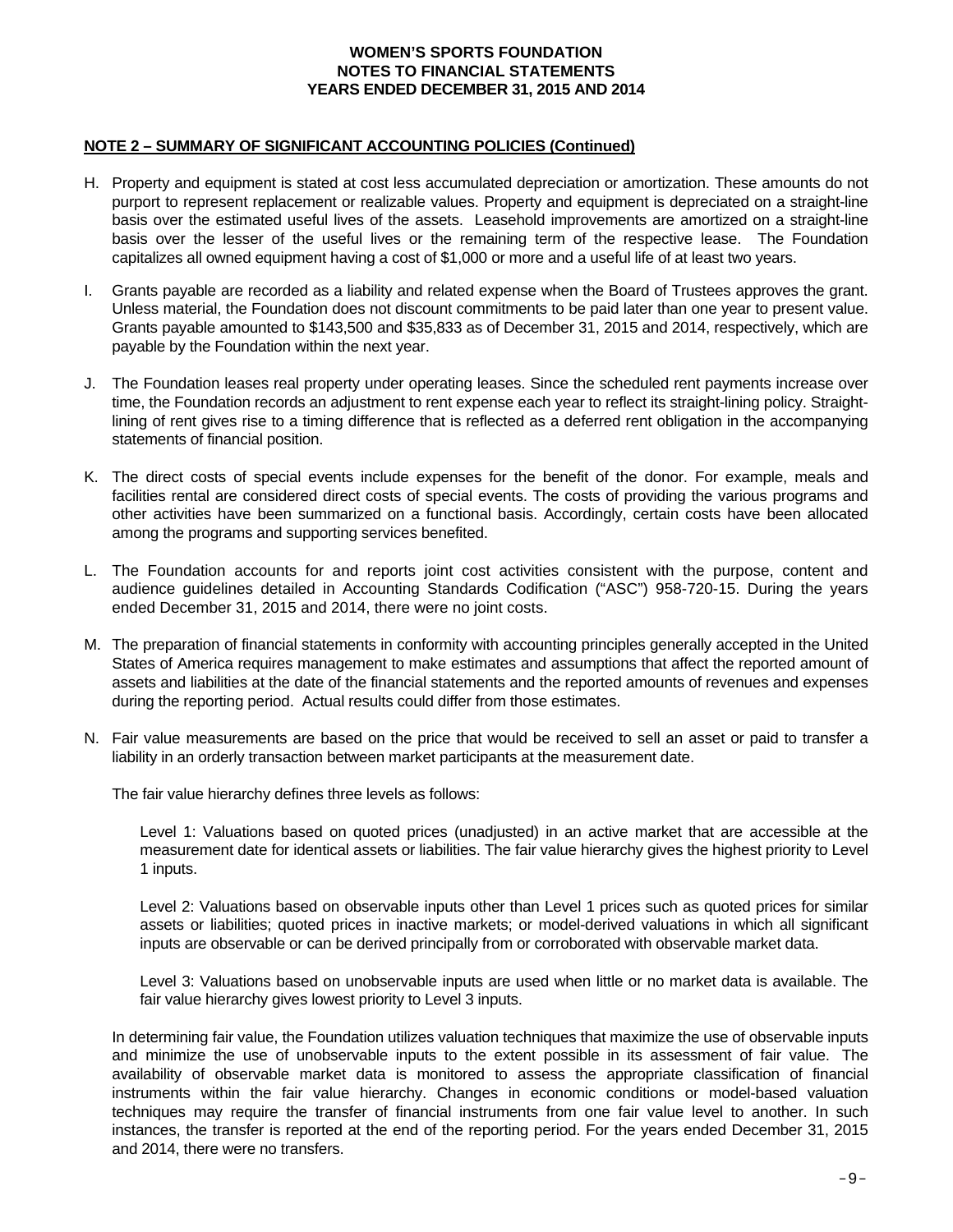# **NOTE 2 – SUMMARY OF SIGNIFICANT ACCOUNTING POLICIES (Continued)**

- H. Property and equipment is stated at cost less accumulated depreciation or amortization. These amounts do not purport to represent replacement or realizable values. Property and equipment is depreciated on a straight-line basis over the estimated useful lives of the assets. Leasehold improvements are amortized on a straight-line basis over the lesser of the useful lives or the remaining term of the respective lease. The Foundation capitalizes all owned equipment having a cost of \$1,000 or more and a useful life of at least two years.
- I. Grants payable are recorded as a liability and related expense when the Board of Trustees approves the grant. Unless material, the Foundation does not discount commitments to be paid later than one year to present value. Grants payable amounted to \$143,500 and \$35,833 as of December 31, 2015 and 2014, respectively, which are payable by the Foundation within the next year.
- J. The Foundation leases real property under operating leases. Since the scheduled rent payments increase over time, the Foundation records an adjustment to rent expense each year to reflect its straight-lining policy. Straightlining of rent gives rise to a timing difference that is reflected as a deferred rent obligation in the accompanying statements of financial position.
- K. The direct costs of special events include expenses for the benefit of the donor. For example, meals and facilities rental are considered direct costs of special events. The costs of providing the various programs and other activities have been summarized on a functional basis. Accordingly, certain costs have been allocated among the programs and supporting services benefited.
- L. The Foundation accounts for and reports joint cost activities consistent with the purpose, content and audience guidelines detailed in Accounting Standards Codification ("ASC") 958-720-15. During the years ended December 31, 2015 and 2014, there were no joint costs.
- M. The preparation of financial statements in conformity with accounting principles generally accepted in the United States of America requires management to make estimates and assumptions that affect the reported amount of assets and liabilities at the date of the financial statements and the reported amounts of revenues and expenses during the reporting period. Actual results could differ from those estimates.
- N. Fair value measurements are based on the price that would be received to sell an asset or paid to transfer a liability in an orderly transaction between market participants at the measurement date.

The fair value hierarchy defines three levels as follows:

Level 1: Valuations based on quoted prices (unadjusted) in an active market that are accessible at the measurement date for identical assets or liabilities. The fair value hierarchy gives the highest priority to Level 1 inputs.

Level 2: Valuations based on observable inputs other than Level 1 prices such as quoted prices for similar assets or liabilities; quoted prices in inactive markets; or model-derived valuations in which all significant inputs are observable or can be derived principally from or corroborated with observable market data.

Level 3: Valuations based on unobservable inputs are used when little or no market data is available. The fair value hierarchy gives lowest priority to Level 3 inputs.

In determining fair value, the Foundation utilizes valuation techniques that maximize the use of observable inputs and minimize the use of unobservable inputs to the extent possible in its assessment of fair value. The availability of observable market data is monitored to assess the appropriate classification of financial instruments within the fair value hierarchy. Changes in economic conditions or model-based valuation techniques may require the transfer of financial instruments from one fair value level to another. In such instances, the transfer is reported at the end of the reporting period. For the years ended December 31, 2015 and 2014, there were no transfers.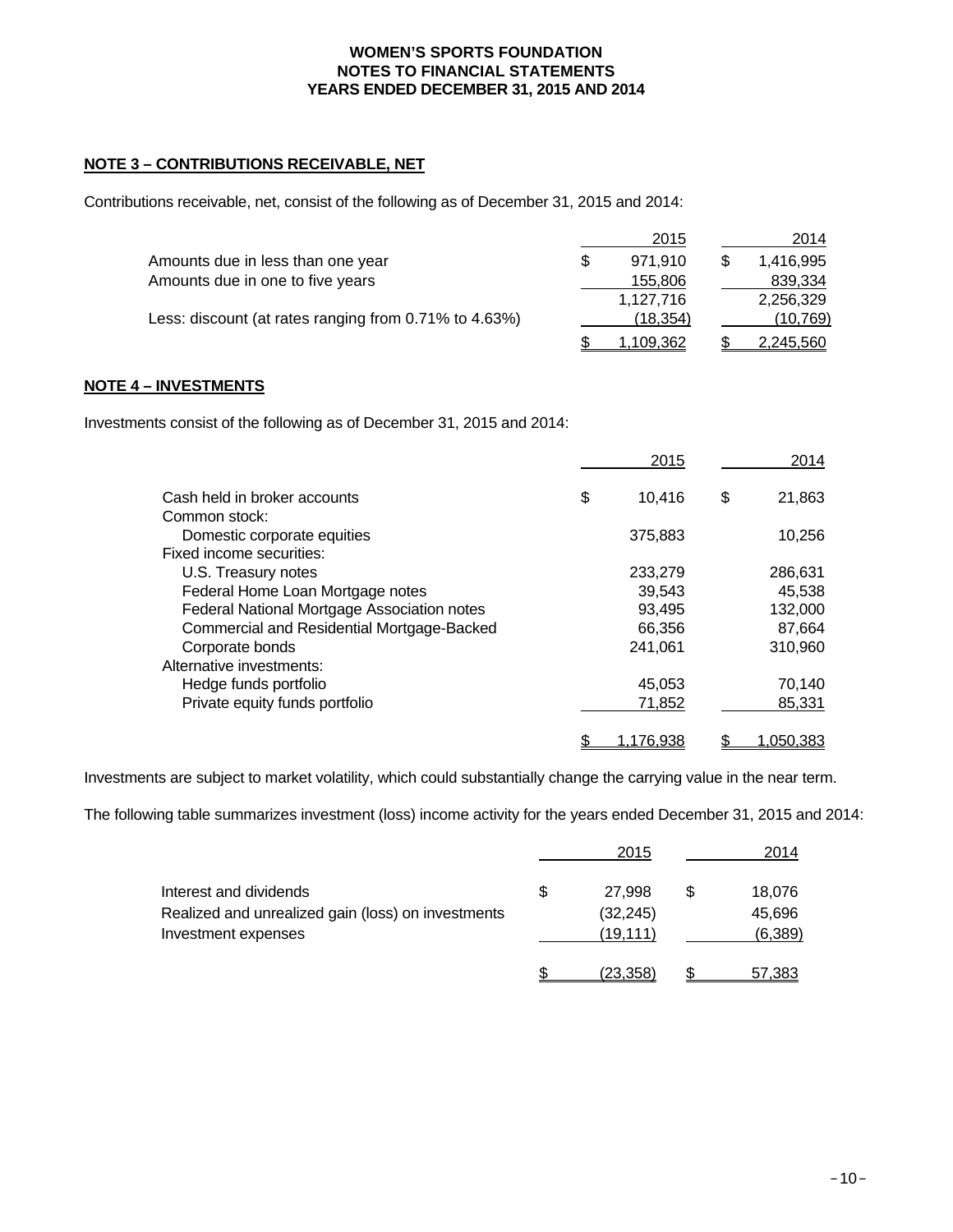# **NOTE 3 – CONTRIBUTIONS RECEIVABLE, NET**

Contributions receivable, net, consist of the following as of December 31, 2015 and 2014:

|                                                       | 2015          | 2014      |
|-------------------------------------------------------|---------------|-----------|
| Amounts due in less than one year                     | \$<br>971.910 | 1.416.995 |
| Amounts due in one to five years                      | 155.806       | 839,334   |
|                                                       | 1.127.716     | 2,256,329 |
| Less: discount (at rates ranging from 0.71% to 4.63%) | (18.354)      | (10,769)  |
|                                                       | 1.109.362     | 2,245,560 |

# **NOTE 4 – INVESTMENTS**

Investments consist of the following as of December 31, 2015 and 2014:

|                                             | 2015             |   | 2014      |
|---------------------------------------------|------------------|---|-----------|
| Cash held in broker accounts                | \$<br>10.416     | S | 21,863    |
| Common stock:                               |                  |   |           |
| Domestic corporate equities                 | 375,883          |   | 10,256    |
| Fixed income securities:                    |                  |   |           |
| U.S. Treasury notes                         | 233,279          |   | 286,631   |
| Federal Home Loan Mortgage notes            | 39,543           |   | 45,538    |
| Federal National Mortgage Association notes | 93,495           |   | 132,000   |
| Commercial and Residential Mortgage-Backed  | 66,356           |   | 87,664    |
| Corporate bonds                             | 241,061          |   | 310,960   |
| Alternative investments:                    |                  |   |           |
| Hedge funds portfolio                       | 45,053           |   | 70,140    |
| Private equity funds portfolio              | 71,852           |   | 85.331    |
|                                             | <u>1,176,938</u> |   | 1.050.383 |

Investments are subject to market volatility, which could substantially change the carrying value in the near term.

The following table summarizes investment (loss) income activity for the years ended December 31, 2015 and 2014:

|                                                    |   | 2015      |     | 2014     |
|----------------------------------------------------|---|-----------|-----|----------|
| Interest and dividends                             | S | 27.998    | \$. | 18,076   |
| Realized and unrealized gain (loss) on investments |   | (32, 245) |     | 45,696   |
| Investment expenses                                |   | (19.111)  |     | (6, 389) |
|                                                    |   | (23,358)  |     | 57,383   |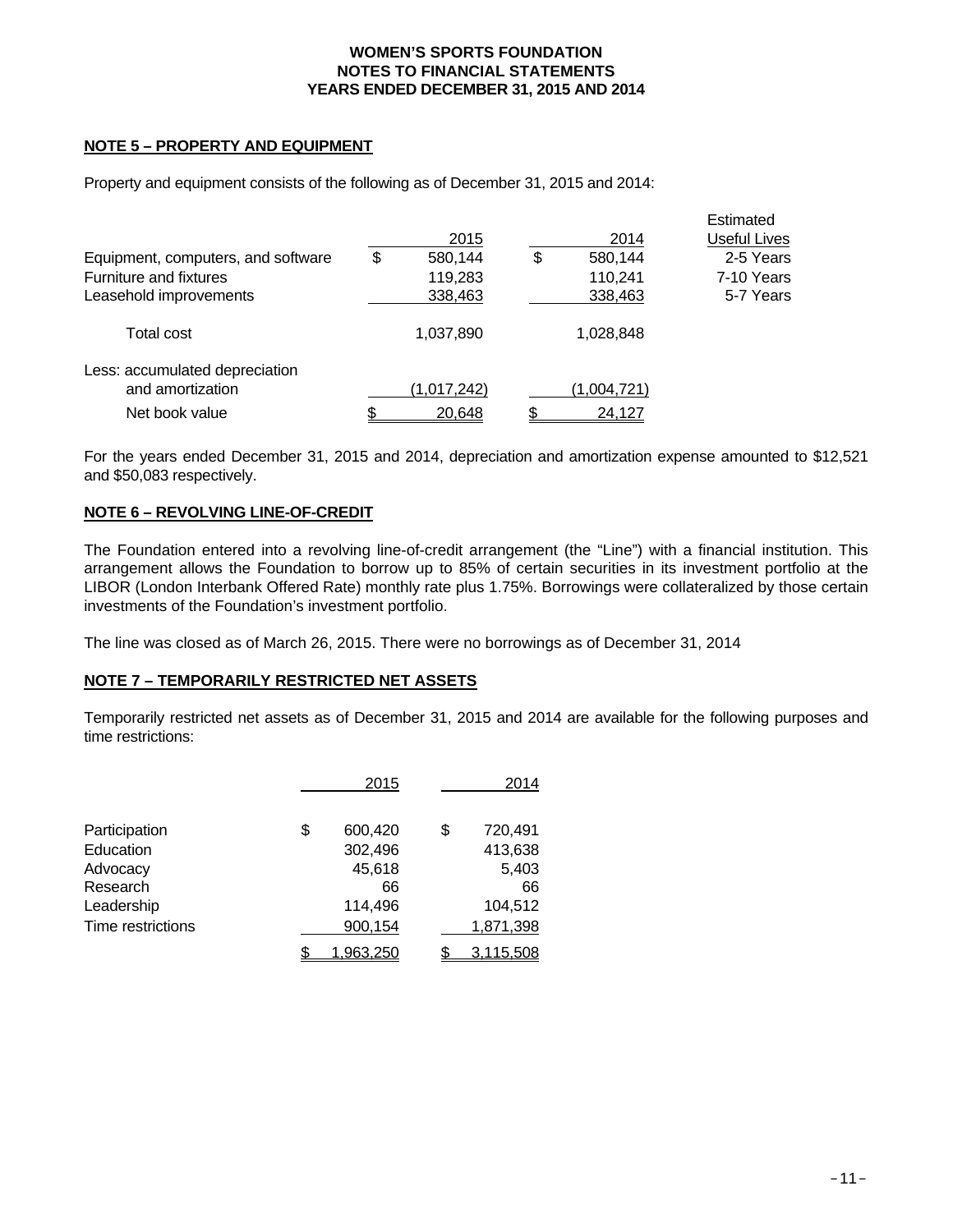# **NOTE 5 – PROPERTY AND EQUIPMENT**

Property and equipment consists of the following as of December 31, 2015 and 2014:

|                                    | 2015          | 2014          | Estimated<br><b>Useful Lives</b> |
|------------------------------------|---------------|---------------|----------------------------------|
| Equipment, computers, and software | \$<br>580,144 | \$<br>580,144 | 2-5 Years                        |
| Furniture and fixtures             | 119,283       | 110,241       | 7-10 Years                       |
| Leasehold improvements             | 338,463       | 338,463       | 5-7 Years                        |
| Total cost                         | 1,037,890     | 1,028,848     |                                  |
| Less: accumulated depreciation     |               |               |                                  |
| and amortization                   | (1,017,242)   | (1,004,721)   |                                  |
| Net book value                     | 20,648        | 24,127        |                                  |

For the years ended December 31, 2015 and 2014, depreciation and amortization expense amounted to \$12,521 and \$50,083 respectively.

# **NOTE 6 – REVOLVING LINE-OF-CREDIT**

The Foundation entered into a revolving line-of-credit arrangement (the "Line") with a financial institution. This arrangement allows the Foundation to borrow up to 85% of certain securities in its investment portfolio at the LIBOR (London Interbank Offered Rate) monthly rate plus 1.75%. Borrowings were collateralized by those certain investments of the Foundation's investment portfolio.

The line was closed as of March 26, 2015. There were no borrowings as of December 31, 2014

#### **NOTE 7 – TEMPORARILY RESTRICTED NET ASSETS**

Temporarily restricted net assets as of December 31, 2015 and 2014 are available for the following purposes and time restrictions:

|                   | 2015            | 2014          |
|-------------------|-----------------|---------------|
| Participation     | \$<br>600,420   | \$<br>720,491 |
| Education         | 302,496         | 413,638       |
| Advocacy          | 45,618          | 5,403         |
| Research          | 66              | 66            |
| Leadership        | 114,496         | 104,512       |
| Time restrictions | 900,154         | 1,871,398     |
|                   | \$<br>1.963.250 | 3,115,508     |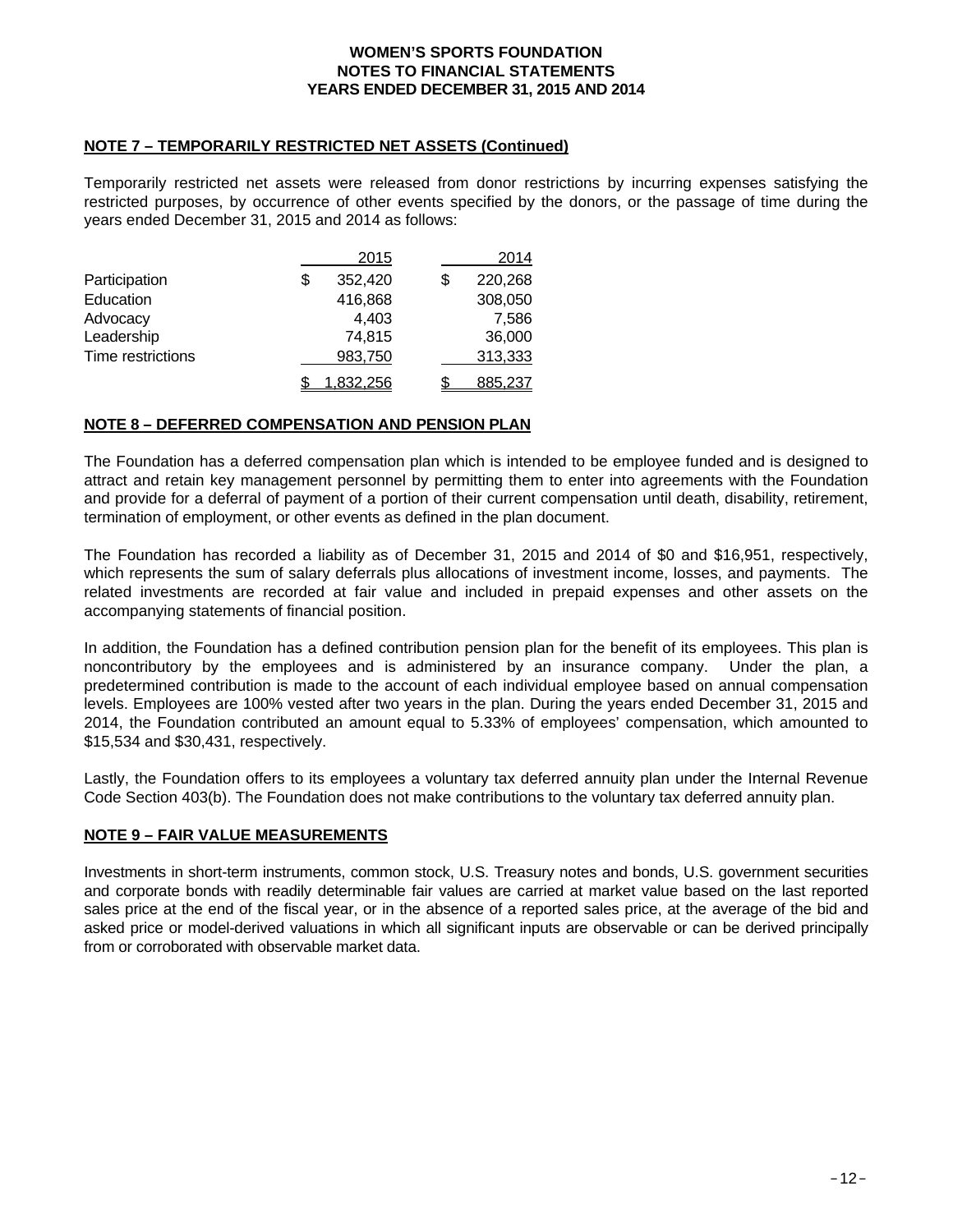# **NOTE 7 – TEMPORARILY RESTRICTED NET ASSETS (Continued)**

Temporarily restricted net assets were released from donor restrictions by incurring expenses satisfying the restricted purposes, by occurrence of other events specified by the donors, or the passage of time during the years ended December 31, 2015 and 2014 as follows:

|                   | 2015          | 2014          |
|-------------------|---------------|---------------|
| Participation     | \$<br>352,420 | \$<br>220,268 |
| Education         | 416,868       | 308,050       |
| Advocacy          | 4,403         | 7,586         |
| Leadership        | 74,815        | 36,000        |
| Time restrictions | 983,750       | 313,333       |
|                   | .832,256      | 885.237       |

# **NOTE 8 – DEFERRED COMPENSATION AND PENSION PLAN**

The Foundation has a deferred compensation plan which is intended to be employee funded and is designed to attract and retain key management personnel by permitting them to enter into agreements with the Foundation and provide for a deferral of payment of a portion of their current compensation until death, disability, retirement, termination of employment, or other events as defined in the plan document.

The Foundation has recorded a liability as of December 31, 2015 and 2014 of \$0 and \$16,951, respectively, which represents the sum of salary deferrals plus allocations of investment income, losses, and payments. The related investments are recorded at fair value and included in prepaid expenses and other assets on the accompanying statements of financial position.

In addition, the Foundation has a defined contribution pension plan for the benefit of its employees. This plan is noncontributory by the employees and is administered by an insurance company. Under the plan, a predetermined contribution is made to the account of each individual employee based on annual compensation levels. Employees are 100% vested after two years in the plan. During the years ended December 31, 2015 and 2014, the Foundation contributed an amount equal to 5.33% of employees' compensation, which amounted to \$15,534 and \$30,431, respectively.

Lastly, the Foundation offers to its employees a voluntary tax deferred annuity plan under the Internal Revenue Code Section 403(b). The Foundation does not make contributions to the voluntary tax deferred annuity plan.

# **NOTE 9 – FAIR VALUE MEASUREMENTS**

Investments in short-term instruments, common stock, U.S. Treasury notes and bonds, U.S. government securities and corporate bonds with readily determinable fair values are carried at market value based on the last reported sales price at the end of the fiscal year, or in the absence of a reported sales price, at the average of the bid and asked price or model-derived valuations in which all significant inputs are observable or can be derived principally from or corroborated with observable market data.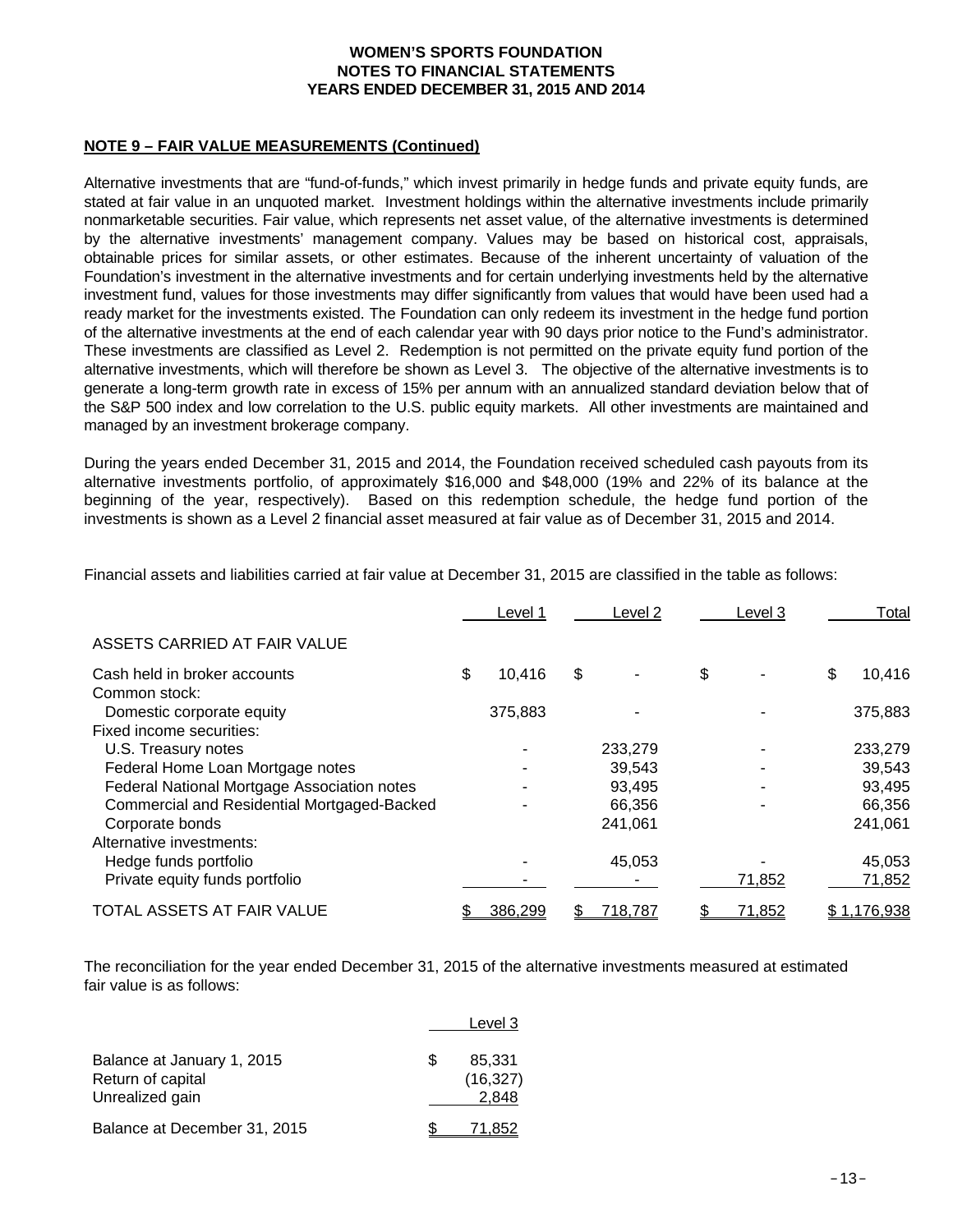# **NOTE 9 – FAIR VALUE MEASUREMENTS (Continued)**

Alternative investments that are "fund-of-funds," which invest primarily in hedge funds and private equity funds, are stated at fair value in an unquoted market. Investment holdings within the alternative investments include primarily nonmarketable securities. Fair value, which represents net asset value, of the alternative investments is determined by the alternative investments' management company. Values may be based on historical cost, appraisals, obtainable prices for similar assets, or other estimates. Because of the inherent uncertainty of valuation of the Foundation's investment in the alternative investments and for certain underlying investments held by the alternative investment fund, values for those investments may differ significantly from values that would have been used had a ready market for the investments existed. The Foundation can only redeem its investment in the hedge fund portion of the alternative investments at the end of each calendar year with 90 days prior notice to the Fund's administrator. These investments are classified as Level 2. Redemption is not permitted on the private equity fund portion of the alternative investments, which will therefore be shown as Level 3. The objective of the alternative investments is to generate a long-term growth rate in excess of 15% per annum with an annualized standard deviation below that of the S&P 500 index and low correlation to the U.S. public equity markets. All other investments are maintained and managed by an investment brokerage company.

During the years ended December 31, 2015 and 2014, the Foundation received scheduled cash payouts from its alternative investments portfolio, of approximately \$16,000 and \$48,000 (19% and 22% of its balance at the beginning of the year, respectively). Based on this redemption schedule, the hedge fund portion of the investments is shown as a Level 2 financial asset measured at fair value as of December 31, 2015 and 2014.

Financial assets and liabilities carried at fair value at December 31, 2015 are classified in the table as follows:

|                                             | Level 1      | Level 2 | Level 3 | Total        |
|---------------------------------------------|--------------|---------|---------|--------------|
| ASSETS CARRIED AT FAIR VALUE                |              |         |         |              |
| Cash held in broker accounts                | \$<br>10,416 | \$      | \$      | \$<br>10,416 |
| Common stock:                               |              |         |         |              |
| Domestic corporate equity                   | 375,883      |         |         | 375,883      |
| Fixed income securities:                    |              |         |         |              |
| U.S. Treasury notes                         |              | 233,279 |         | 233,279      |
| Federal Home Loan Mortgage notes            |              | 39,543  |         | 39,543       |
| Federal National Mortgage Association notes |              | 93.495  |         | 93,495       |
| Commercial and Residential Mortgaged-Backed |              | 66,356  |         | 66,356       |
| Corporate bonds                             |              | 241,061 |         | 241,061      |
| Alternative investments:                    |              |         |         |              |
| Hedge funds portfolio                       |              | 45,053  |         | 45,053       |
| Private equity funds portfolio              |              |         | 71,852  | 71,852       |
| TOTAL ASSETS AT FAIR VALUE                  | 386,299      | 718,787 | 71,852  | \$1,176,938  |

The reconciliation for the year ended December 31, 2015 of the alternative investments measured at estimated fair value is as follows:

|                                                                    |    | Level 3                      |
|--------------------------------------------------------------------|----|------------------------------|
| Balance at January 1, 2015<br>Return of capital<br>Unrealized gain | S. | 85.331<br>(16, 327)<br>2.848 |
| Balance at December 31, 2015                                       |    | 1.852                        |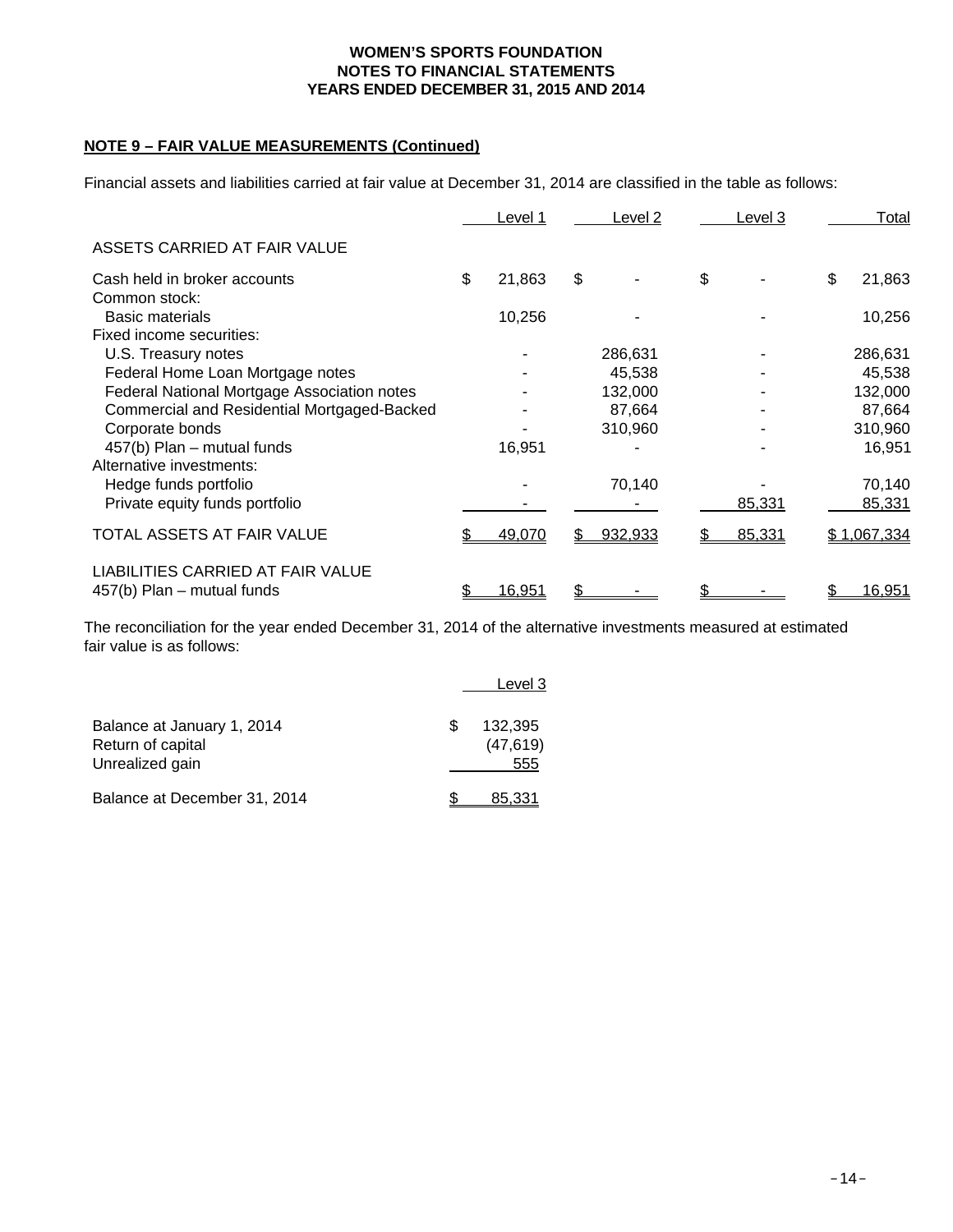# **NOTE 9 – FAIR VALUE MEASUREMENTS (Continued)**

Financial assets and liabilities carried at fair value at December 31, 2014 are classified in the table as follows:

|                                             | Level 1      |    | Level 2 | Level 3 | Total        |
|---------------------------------------------|--------------|----|---------|---------|--------------|
| <b>ASSETS CARRIED AT FAIR VALUE</b>         |              |    |         |         |              |
| Cash held in broker accounts                | \$<br>21,863 | \$ |         | \$      | \$<br>21,863 |
| Common stock:                               |              |    |         |         |              |
| <b>Basic materials</b>                      | 10,256       |    |         |         | 10,256       |
| Fixed income securities:                    |              |    |         |         |              |
| U.S. Treasury notes                         |              |    | 286,631 |         | 286,631      |
| Federal Home Loan Mortgage notes            |              |    | 45,538  |         | 45,538       |
| Federal National Mortgage Association notes |              |    | 132,000 |         | 132,000      |
| Commercial and Residential Mortgaged-Backed |              |    | 87,664  |         | 87,664       |
| Corporate bonds                             |              |    | 310,960 |         | 310,960      |
| 457(b) Plan - mutual funds                  | 16,951       |    |         |         | 16,951       |
| Alternative investments:                    |              |    |         |         |              |
| Hedge funds portfolio                       |              |    | 70,140  |         | 70,140       |
| Private equity funds portfolio              |              |    |         | 85,331  | 85,331       |
| TOTAL ASSETS AT FAIR VALUE                  | 49,070       | S  | 932,933 | 85,331  | \$1,067,334  |
| LIABILITIES CARRIED AT FAIR VALUE           |              |    |         |         |              |
| 457(b) Plan – mutual funds                  | 16,951       |    |         |         | 16,951       |

The reconciliation for the year ended December 31, 2014 of the alternative investments measured at estimated fair value is as follows:

|                                                                    | Level 3                     |
|--------------------------------------------------------------------|-----------------------------|
| Balance at January 1, 2014<br>Return of capital<br>Unrealized gain | 132,395<br>(47, 619)<br>555 |
| Balance at December 31, 2014                                       | 85.331                      |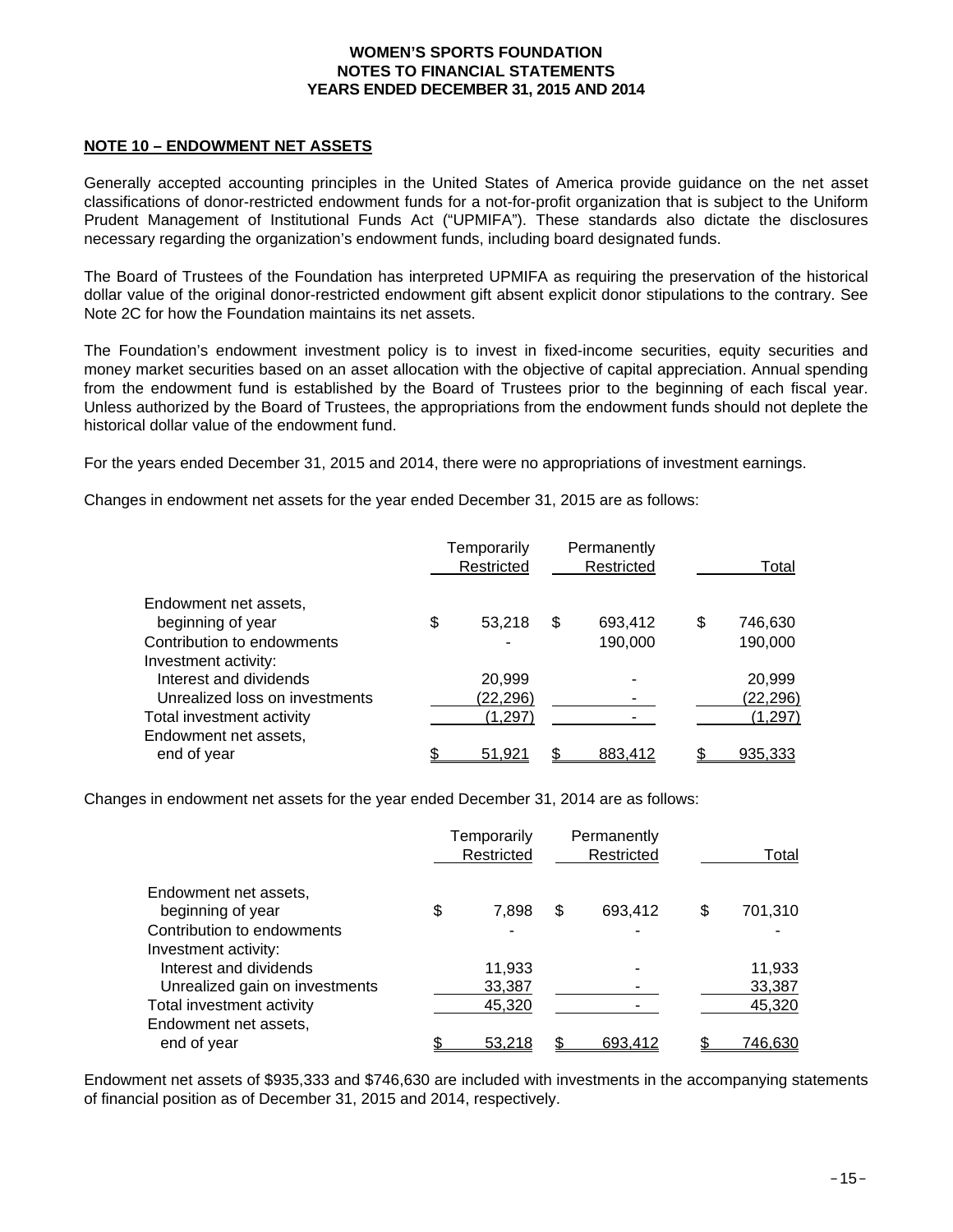# **NOTE 10 – ENDOWMENT NET ASSETS**

Generally accepted accounting principles in the United States of America provide guidance on the net asset classifications of donor-restricted endowment funds for a not-for-profit organization that is subject to the Uniform Prudent Management of Institutional Funds Act ("UPMIFA"). These standards also dictate the disclosures necessary regarding the organization's endowment funds, including board designated funds.

The Board of Trustees of the Foundation has interpreted UPMIFA as requiring the preservation of the historical dollar value of the original donor-restricted endowment gift absent explicit donor stipulations to the contrary. See Note 2C for how the Foundation maintains its net assets.

The Foundation's endowment investment policy is to invest in fixed-income securities, equity securities and money market securities based on an asset allocation with the objective of capital appreciation. Annual spending from the endowment fund is established by the Board of Trustees prior to the beginning of each fiscal year. Unless authorized by the Board of Trustees, the appropriations from the endowment funds should not deplete the historical dollar value of the endowment fund.

For the years ended December 31, 2015 and 2014, there were no appropriations of investment earnings.

Changes in endowment net assets for the year ended December 31, 2015 are as follows:

|                                | Temporarily<br>Restricted | Permanently<br>Restricted |   | Total    |
|--------------------------------|---------------------------|---------------------------|---|----------|
| Endowment net assets,          |                           |                           |   |          |
| beginning of year              | \$<br>53,218              | \$<br>693,412             | S | 746,630  |
| Contribution to endowments     |                           | 190,000                   |   | 190,000  |
| Investment activity:           |                           |                           |   |          |
| Interest and dividends         | 20,999                    |                           |   | 20,999   |
| Unrealized loss on investments | (22,296)                  |                           |   | (22,296) |
| Total investment activity      | (1,297)                   |                           |   | (1, 297) |
| Endowment net assets,          |                           |                           |   |          |
| end of year                    | 51,921                    | 883,412                   |   | 935,333  |

Changes in endowment net assets for the year ended December 31, 2014 are as follows:

|                                | Temporarily<br>Restricted |   | Permanently<br>Restricted |   | Total          |
|--------------------------------|---------------------------|---|---------------------------|---|----------------|
| Endowment net assets,          |                           |   |                           |   |                |
| beginning of year              | \$<br>7.898               | S | 693,412                   | S | 701,310        |
| Contribution to endowments     |                           |   |                           |   |                |
| Investment activity:           |                           |   |                           |   |                |
| Interest and dividends         | 11,933                    |   |                           |   | 11,933         |
| Unrealized gain on investments | 33,387                    |   |                           |   | 33,387         |
| Total investment activity      | 45,320                    |   |                           |   | 45,320         |
| Endowment net assets,          |                           |   |                           |   |                |
| end of year                    | 53,218                    |   | 693,412                   |   | <u>746,630</u> |

Endowment net assets of \$935,333 and \$746,630 are included with investments in the accompanying statements of financial position as of December 31, 2015 and 2014, respectively.